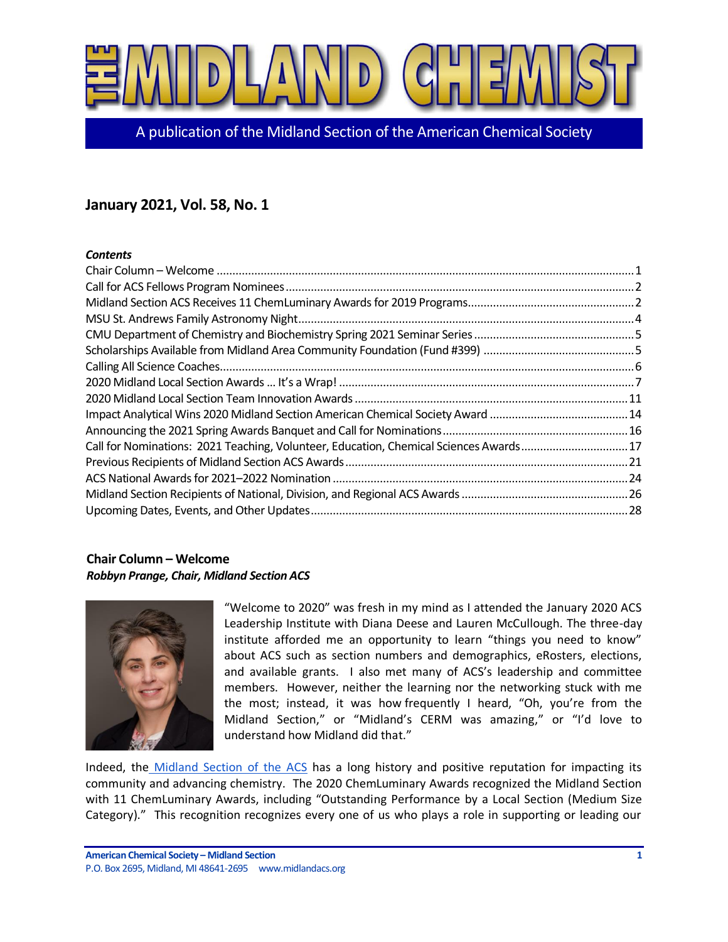

A publication of the Midland Section of the American Chemical Society

# **January 2021, Vol. 58, No. 1**

## *Contents*

| Call for Nominations: 2021 Teaching, Volunteer, Education, Chemical Sciences Awards17 |  |
|---------------------------------------------------------------------------------------|--|
|                                                                                       |  |
|                                                                                       |  |
|                                                                                       |  |
|                                                                                       |  |
|                                                                                       |  |
|                                                                                       |  |
|                                                                                       |  |
|                                                                                       |  |
|                                                                                       |  |
|                                                                                       |  |
|                                                                                       |  |
|                                                                                       |  |
|                                                                                       |  |
|                                                                                       |  |
|                                                                                       |  |

## <span id="page-0-0"></span>**Chair Column – Welcome** *Robbyn Prange, Chair, Midland Section ACS*



"Welcome to 2020" was fresh in my mind as I attended the January 2020 ACS Leadership Institute with Diana Deese and Lauren McCullough. The three-day institute afforded me an opportunity to learn "things you need to know" about ACS such as section numbers and demographics, eRosters, elections, and available grants. I also met many of ACS's leadership and committee members. However, neither the learning nor the networking stuck with me the most; instead, it was how frequently I heard, "Oh, you're from the Midland Section," or "Midland's CERM was amazing," or "I'd love to understand how Midland did that."

Indeed, the [Midland Section of the ACS](http://www.midlandacs.org/) has a long history and positive reputation for impacting its community and advancing chemistry. The 2020 ChemLuminary Awards recognized the Midland Section with 11 ChemLuminary Awards, including "Outstanding Performance by a Local Section (Medium Size Category)." This recognition recognizes every one of us who plays a role in supporting or leading our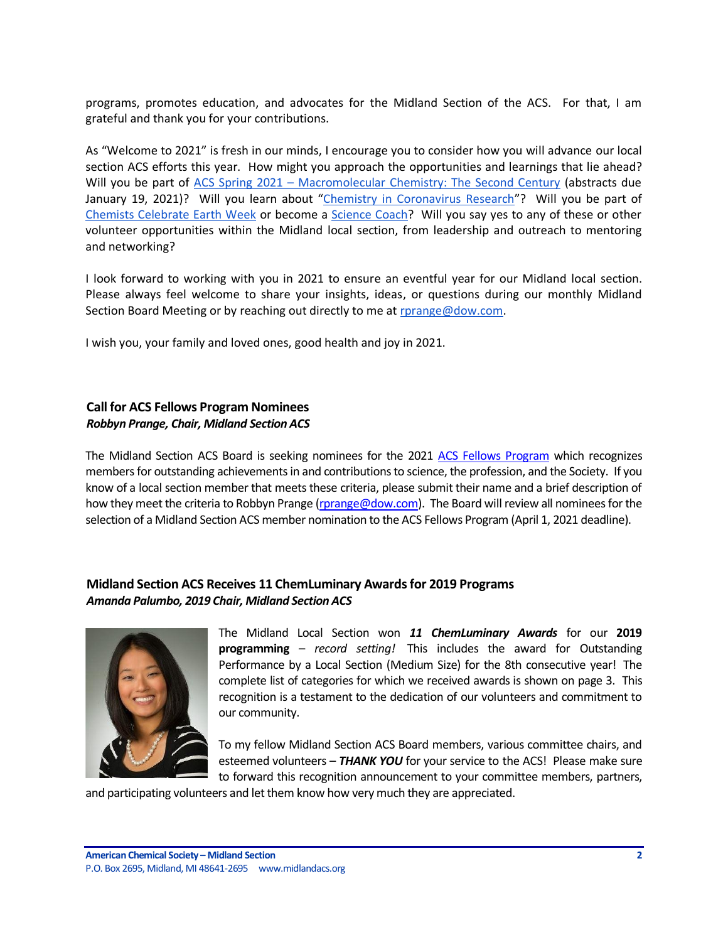programs, promotes education, and advocates for the Midland Section of the ACS. For that, I am grateful and thank you for your contributions.

As "Welcome to 2021" is fresh in our minds, I encourage you to consider how you will advance our local section ACS efforts this year. How might you approach the opportunities and learnings that lie ahead? Will you be part of ACS Spring 2021 – [Macromolecular Chemistry: The Second Century](https://www.acs.org/content/acs/en/meetings/acs-meetings/abstract-submission.html) (abstracts due January 19, 2021)? Will you learn about "[Chemistry in Coronavirus Research](https://pubs.acs.org/page/vi/chemistry_coronavirus_research)"? Will you be part of Chemists [Celebrate Earth Week](https://www.acs.org/content/acs/en/education/outreach/ccew.html) or become a [Science Coach?](https://www.acs.org/content/acs/en/education/outreach/science-coaches.html?sc=190304_k12_vanity_scoaches_postcard) Will you say yes to any of these or other volunteer opportunities within the Midland local section, from leadership and outreach to mentoring and networking?

I look forward to working with you in 2021 to ensure an eventful year for our Midland local section. Please always feel welcome to share your insights, ideas, or questions during our monthly Midland Section Board Meeting or by reaching out directly to me at [rprange@dow.com.](mailto:rprange@dow.com)

I wish you, your family and loved ones, good health and joy in 2021.

## <span id="page-1-0"></span>**Call for ACS Fellows Program Nominees** *Robbyn Prange, Chair, Midland Section ACS*

The Midland Section ACS Board is seeking nominees for the 2021 [ACS Fellows Program](https://www.acs.org/content/acs/en/funding-and-awards/fellows.html) which recognizes members for outstanding achievements in and contributions to science, the profession, and the Society. If you know of a local section member that meets these criteria, please submit their name and a brief description of how they meet the criteria to Robbyn Prange [\(rprange@dow.com\)](mailto:rprange@dow.com). The Board will review all nominees for the selection of a Midland Section ACS member nomination to the ACS Fellows Program (April 1, 2021 deadline).

## <span id="page-1-1"></span>**Midland Section ACS Receives 11 ChemLuminary Awardsfor 2019 Programs** *Amanda Palumbo, 2019 Chair, Midland Section ACS*



The Midland Local Section won *11 ChemLuminary Awards* for our **2019 programming** – *record setting!* This includes the award for Outstanding Performance by a Local Section (Medium Size) for the 8th consecutive year! The complete list of categories for which we received awards is shown on page 3. This recognition is a testament to the dedication of our volunteers and commitment to our community.

To my fellow Midland Section ACS Board members, various committee chairs, and esteemed volunteers – *THANK YOU* for your service to the ACS! Please make sure to forward this recognition announcement to your committee members, partners,

and participating volunteers and let them know how very much they are appreciated.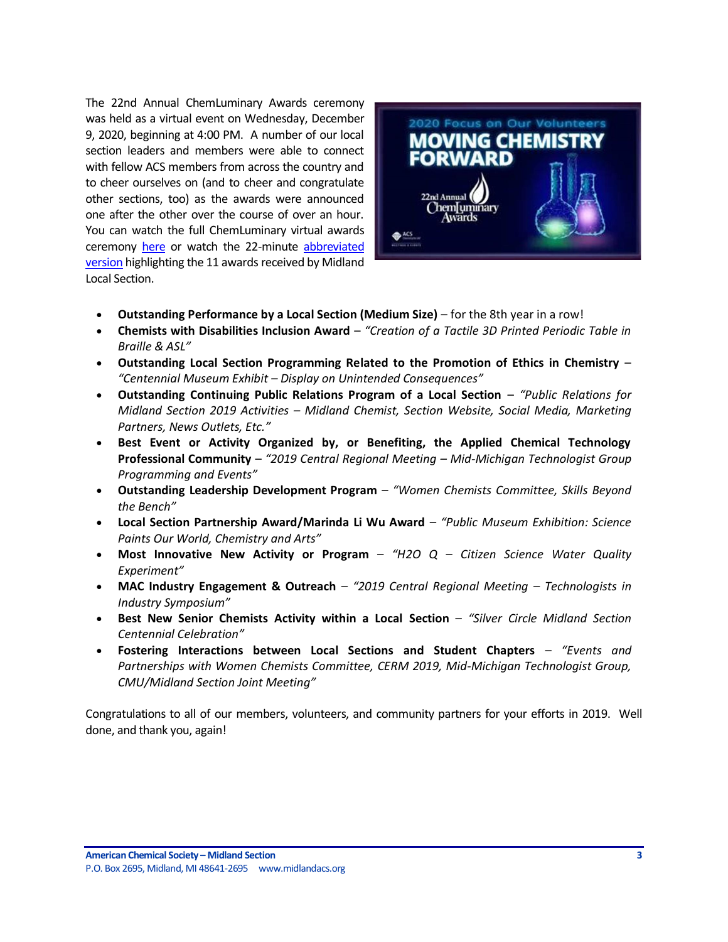The 22nd Annual ChemLuminary Awards ceremony was held as a virtual event on Wednesday, December 9, 2020, beginning at 4:00 PM. A number of our local section leaders and members were able to connect with fellow ACS members from across the country and to cheer ourselves on (and to cheer and congratulate other sections, too) as the awards were announced one after the other over the course of over an hour. You can watch the full ChemLuminary virtual awards ceremony [here](https://www.acs.org/content/acs/en/funding-and-awards/awards/community/chemluminary.html) or watch the 22-minute abbreviated [version](https://www.mjphd.net/Chemluminary2020.html) highlighting the 11 awards received by Midland Local Section.



- **Outstanding Performance by a Local Section (Medium Size)** for the 8th year in a row!
- **Chemists with Disabilities Inclusion Award** *"Creation of a Tactile 3D Printed Periodic Table in Braille & ASL"*
- **Outstanding Local Section Programming Related to the Promotion of Ethics in Chemistry** *"Centennial Museum Exhibit – Display on Unintended Consequences"*
- **Outstanding Continuing Public Relations Program of a Local Section** *"Public Relations for Midland Section 2019 Activities – Midland Chemist, Section Website, Social Media, Marketing Partners, News Outlets, Etc."*
- **Best Event or Activity Organized by, or Benefiting, the Applied Chemical Technology Professional Community** – *"2019 Central Regional Meeting – Mid-Michigan Technologist Group Programming and Events"*
- **Outstanding Leadership Development Program** *"Women Chemists Committee, Skills Beyond the Bench"*
- **Local Section Partnership Award/Marinda Li Wu Award** *"Public Museum Exhibition: Science Paints Our World, Chemistry and Arts"*
- **Most Innovative New Activity or Program** *"H2O Q – Citizen Science Water Quality Experiment"*
- **MAC Industry Engagement & Outreach** *"2019 Central Regional Meeting – Technologists in Industry Symposium"*
- **Best New Senior Chemists Activity within a Local Section** *"Silver Circle Midland Section Centennial Celebration"*
- **Fostering Interactions between Local Sections and Student Chapters** *"Events and Partnerships with Women Chemists Committee, CERM 2019, Mid-Michigan Technologist Group, CMU/Midland Section Joint Meeting"*

Congratulations to all of our members, volunteers, and community partners for your efforts in 2019. Well done, and thank you, again!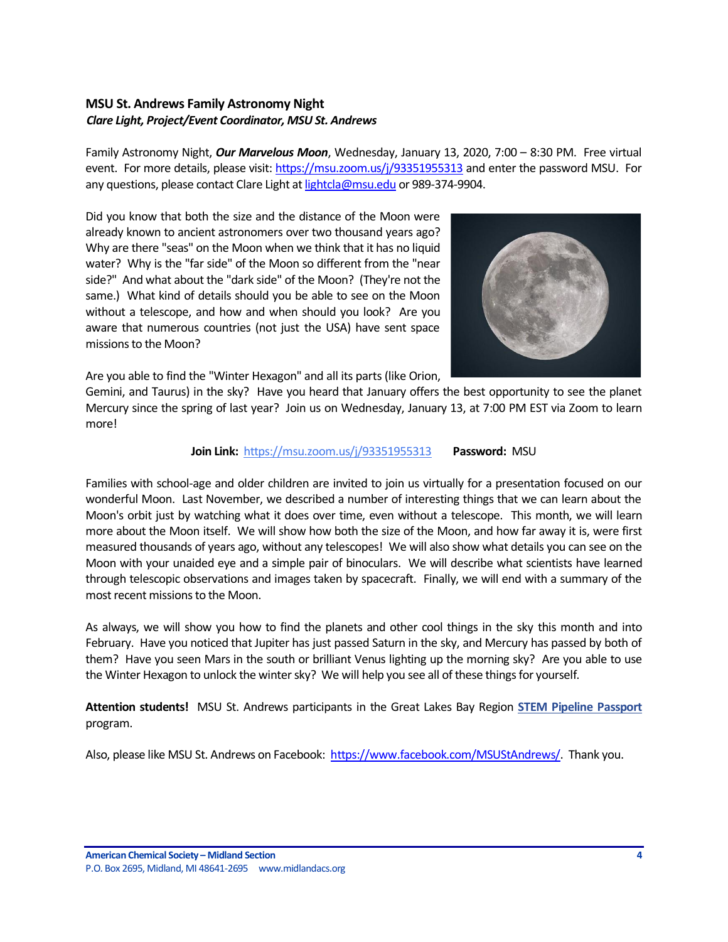## <span id="page-3-0"></span>**MSU St. Andrews Family Astronomy Night** *Clare Light, Project/Event Coordinator, MSU St. Andrews*

Family Astronomy Night, *Our Marvelous Moon*, Wednesday, January 13, 2020, 7:00 – 8:30 PM. Free virtual event. For more details, please visit: <https://msu.zoom.us/j/93351955313> and enter the password MSU. For any questions, please contact Clare Light a[t lightcla@msu.edu](mailto:lightcla@msu.edu) or 989-374-9904.

Did you know that both the size and the distance of the Moon were already known to ancient astronomers over two thousand years ago? Why are there "seas" on the Moon when we think that it has no liquid water? Why is the "far side" of the Moon so different from the "near side?" And what about the "dark side" of the Moon? (They're not the same.) What kind of details should you be able to see on the Moon without a telescope, and how and when should you look? Are you aware that numerous countries (not just the USA) have sent space missions to the Moon?



Are you able to find the "Winter Hexagon" and all its parts (like Orion,

Gemini, and Taurus) in the sky? Have you heard that January offers the best opportunity to see the planet Mercury since the spring of last year? Join us on Wednesday, January 13, at 7:00 PM EST via Zoom to learn more!

## **Join Link:** [https://msu.zoom.us/j/93351955313](http://r20.rs6.net/tn.jsp?f=001N4sGryAWEqST1g1ZcoWGqQCU-p00v9NPfVutXWvjlOFBwv4Wrn39OK0AvKl3TMQ4RYbaRdrolpP8MOFHgMZ-xyEirD4KqqlyO_zPcxbU1eOKWUasEQG9aSh8npRhTnnTks_tw3kCFIu8PXGF3UtJ9T88OpfakjBg&c=ETnG81kc3Q9ineuAlz1-Y3XuB3-koFZfhfLr2plE56T8vPXpTRWhkg==&ch=lfuaap4PCJQ17h8g-OztlzUoxZUoXeiUEWqgU5MSUphIsb6PkG8faw==) **Password:** MSU

Families with school-age and older children are invited to join us virtually for a presentation focused on our wonderful Moon. Last November, we described a number of interesting things that we can learn about the Moon's orbit just by watching what it does over time, even without a telescope. This month, we will learn more about the Moon itself. We will show how both the size of the Moon, and how far away it is, were first measured thousands of years ago, without any telescopes! We will also show what details you can see on the Moon with your unaided eye and a simple pair of binoculars. We will describe what scientists have learned through telescopic observations and images taken by spacecraft. Finally, we will end with a summary of the most recent missions to the Moon.

As always, we will show you how to find the planets and other cool things in the sky this month and into February. Have you noticed that Jupiter has just passed Saturn in the sky, and Mercury has passed by both of them? Have you seen Mars in the south or brilliant Venus lighting up the morning sky? Are you able to use the Winter Hexagon to unlock the winter sky? We will help you see all of these things for yourself.

**Attention students!** MSU St. Andrews participants in the Great Lakes Bay Region **[STEM Pipeline Passport](http://r20.rs6.net/tn.jsp?f=001HT6mNv5a7RV1RNoPppTmZp-BVIvd8H9JqmM-zN831bNEIPTU-zs1bSYfkpiM8PsgAcR2VxgtIO1oyKxBTKTJeAciraBN6bEaOui_W6uXJSllc2Bp8iiwYjiV871GonHhm1oMpRWFQ67JWDXmOBMrAWd9_g8YI5OKRyOWhRpljUBnispyfMwQh452v_lrWyT-jBfHRyrZtzolbvyKemuXJQ==&c=R-aADM4flVO1AGNVI9M35rwryU584TdGqYp42wqkLz6mgDSL5xUeHA==&ch=pF77tp8sEijA4SYl8mpHXvGqTdTtGVc7-jDLb6iUcCQ1PmW-OA39UQ==)** program.

Also, please like MSU St. Andrews on Facebook: [https://www.facebook.com/MSUStAndrews/.](https://www.facebook.com/MSUStAndrews/) Thank you.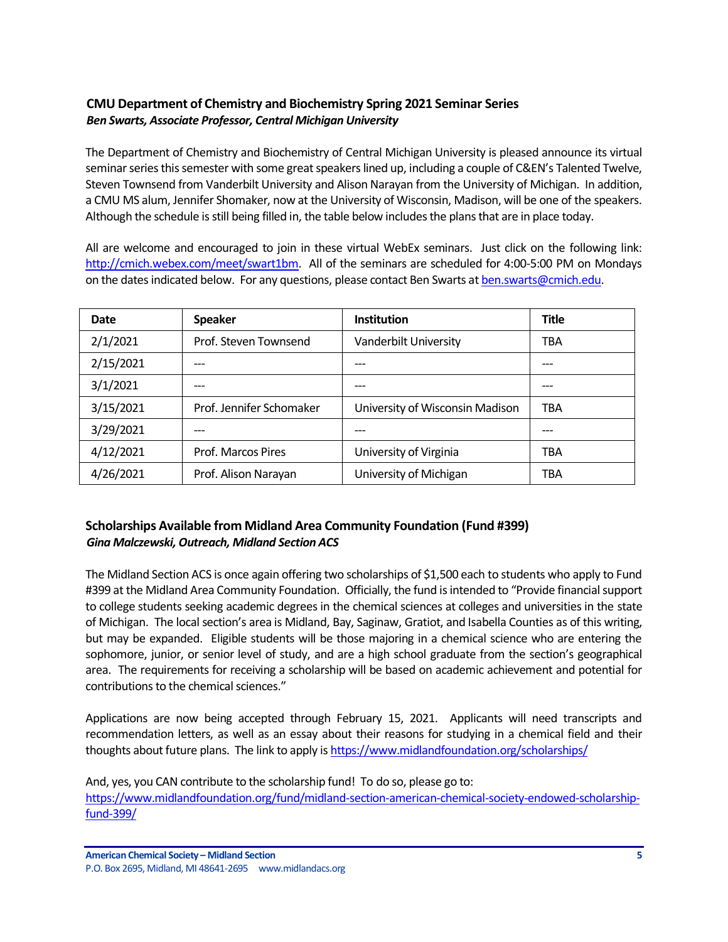## <span id="page-4-0"></span>**CMU Department of Chemistry and Biochemistry Spring 2021 Seminar Series** *Ben Swarts, Associate Professor, Central Michigan University*

The Department of Chemistry and Biochemistry of Central Michigan University is pleased announce its virtual seminar series this semester with some great speakers lined up, including a couple of C&EN's Talented Twelve, Steven Townsend from Vanderbilt University and Alison Narayan from the University of Michigan. In addition, a CMU MS alum, Jennifer Shomaker, now at the University of Wisconsin, Madison, will be one of the speakers. Although the schedule is still being filled in, the table below includes the plans that are in place today.

All are welcome and encouraged to join in these virtual WebEx seminars. Just click on the following link: [http://cmich.webex.com/meet/swart1bm.](http://cmich.webex.com/meet/swart1bm) All of the seminars are scheduled for 4:00-5:00 PM on Mondays on the dates indicated below. For any questions, please contact Ben Swarts a[t ben.swarts@cmich.edu.](mailto:ben.swarts@cmich.edu)

| Date      | <b>Speaker</b>           | <b>Institution</b>              | Title |
|-----------|--------------------------|---------------------------------|-------|
| 2/1/2021  | Prof. Steven Townsend    | Vanderbilt University           | TBA   |
| 2/15/2021 | ---                      |                                 | ---   |
| 3/1/2021  | ---                      |                                 |       |
| 3/15/2021 | Prof. Jennifer Schomaker | University of Wisconsin Madison | TBA   |
| 3/29/2021 | ---                      |                                 | ---   |
| 4/12/2021 | Prof. Marcos Pires       | University of Virginia          | TBA   |
| 4/26/2021 | Prof. Alison Narayan     | University of Michigan          | TBA   |

# <span id="page-4-1"></span>**Scholarships Available from Midland Area Community Foundation (Fund #399)** *Gina Malczewski, Outreach, Midland Section ACS*

The Midland Section ACS is once again offering two scholarships of \$1,500 each to students who apply to Fund #399 at the Midland Area Community Foundation. Officially, the fund is intended to "Provide financial support to college students seeking academic degrees in the chemical sciences at colleges and universities in the state of Michigan. The local section's area is Midland, Bay, Saginaw, Gratiot, and Isabella Counties as of this writing, but may be expanded. Eligible students will be those majoring in a chemical science who are entering the sophomore, junior, or senior level of study, and are a high school graduate from the section's geographical area. The requirements for receiving a scholarship will be based on academic achievement and potential for contributions to the chemical sciences."

Applications are now being accepted through February 15, 2021. Applicants will need transcripts and recommendation letters, as well as an essay about their reasons for studying in a chemical field and their thoughts about future plans. The link to apply i[s https://www.midlandfoundation.org/scholarships/](https://www.midlandfoundation.org/scholarships/)

And, yes, you CAN contribute to the scholarship fund! To do so, please go to: [https://www.midlandfoundation.org/fund/midland-section-american-chemical-society-endowed-scholarship](https://www.midlandfoundation.org/fund/midland-section-american-chemical-society-endowed-scholarship-fund-399/)[fund-399/](https://www.midlandfoundation.org/fund/midland-section-american-chemical-society-endowed-scholarship-fund-399/)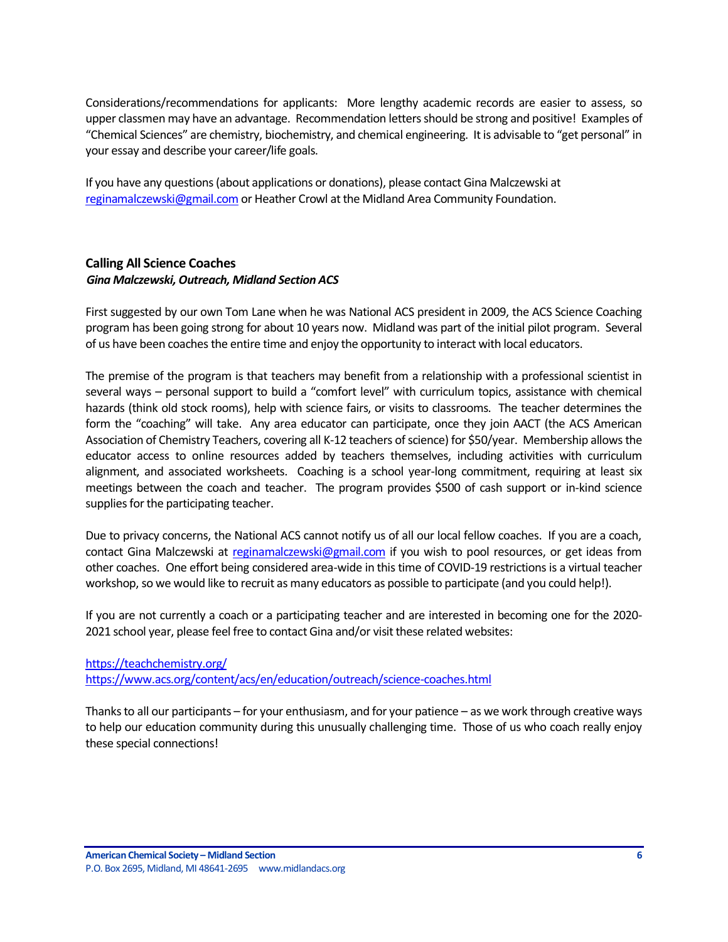Considerations/recommendations for applicants: More lengthy academic records are easier to assess, so upper classmen may have an advantage. Recommendation letters should be strong and positive! Examples of "Chemical Sciences" are chemistry, biochemistry, and chemical engineering. It is advisable to "get personal" in your essay and describe your career/life goals.

If you have any questions (about applications or donations), please contact Gina Malczewski at [reginamalczewski@gmail.com](mailto:reginamalczewski@gmail.com) or Heather Crowl at the Midland Area Community Foundation.

## <span id="page-5-0"></span>**Calling All Science Coaches** *Gina Malczewski, Outreach, Midland Section ACS*

First suggested by our own Tom Lane when he was National ACS president in 2009, the ACS Science Coaching program has been going strong for about 10 years now. Midland was part of the initial pilot program. Several of us have been coaches the entire time and enjoy the opportunity to interact with local educators.

The premise of the program is that teachers may benefit from a relationship with a professional scientist in several ways – personal support to build a "comfort level" with curriculum topics, assistance with chemical hazards (think old stock rooms), help with science fairs, or visits to classrooms. The teacher determines the form the "coaching" will take. Any area educator can participate, once they join AACT (the ACS American Association of Chemistry Teachers, covering all K-12 teachers of science) for \$50/year. Membership allows the educator access to online resources added by teachers themselves, including activities with curriculum alignment, and associated worksheets. Coaching is a school year-long commitment, requiring at least six meetings between the coach and teacher. The program provides \$500 of cash support or in-kind science supplies for the participating teacher.

Due to privacy concerns, the National ACS cannot notify us of all our local fellow coaches. If you are a coach, contact Gina Malczewski at [reginamalczewski@gmail.com](mailto:reginamalczewski@gmail.com) if you wish to pool resources, or get ideas from other coaches. One effort being considered area-wide in this time of COVID-19 restrictions is a virtual teacher workshop, so we would like to recruit as many educators as possible to participate (and you could help!).

If you are not currently a coach or a participating teacher and are interested in becoming one for the 2020- 2021 school year, please feel free to contact Gina and/or visit these related websites:

<https://teachchemistry.org/> <https://www.acs.org/content/acs/en/education/outreach/science-coaches.html>

Thanks to all our participants – for your enthusiasm, and for your patience – as we work through creative ways to help our education community during this unusually challenging time. Those of us who coach really enjoy these special connections!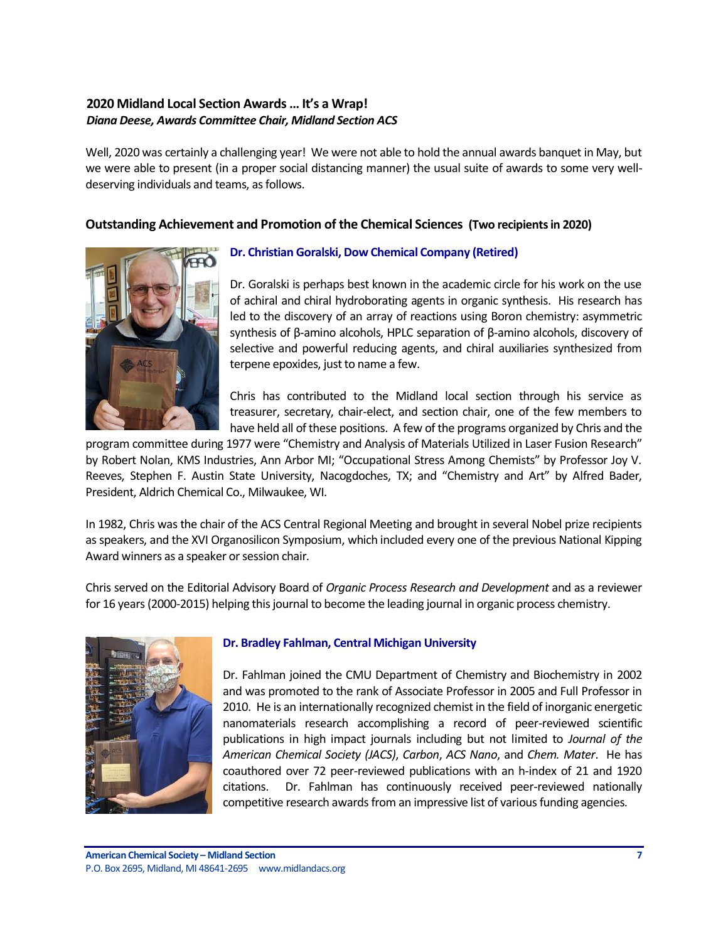## <span id="page-6-0"></span>**2020 Midland Local Section Awards … It's a Wrap!** *Diana Deese, Awards Committee Chair, Midland Section ACS*

Well, 2020 was certainly a challenging year! We were not able to hold the annual awards banquet in May, but we were able to present (in a proper social distancing manner) the usual suite of awards to some very welldeserving individuals and teams, as follows.

## **Outstanding Achievement and Promotion of the Chemical Sciences (Two recipients in 2020)**



## **Dr. Christian Goralski, Dow Chemical Company (Retired)**

Dr. Goralski is perhaps best known in the academic circle for his work on the use of achiral and chiral hydroborating agents in organic synthesis. His research has led to the discovery of an array of reactions using Boron chemistry: asymmetric synthesis of β-amino alcohols, HPLC separation of β-amino alcohols, discovery of selective and powerful reducing agents, and chiral auxiliaries synthesized from terpene epoxides, just to name a few.

Chris has contributed to the Midland local section through his service as treasurer, secretary, chair-elect, and section chair, one of the few members to have held all of these positions. A few of the programs organized by Chris and the

program committee during 1977 were "Chemistry and Analysis of Materials Utilized in Laser Fusion Research" by Robert Nolan, KMS Industries, Ann Arbor MI; "Occupational Stress Among Chemists" by Professor Joy V. Reeves, Stephen F. Austin State University, Nacogdoches, TX; and "Chemistry and Art" by Alfred Bader, President, Aldrich Chemical Co., Milwaukee, WI.

In 1982, Chris was the chair of the ACS Central Regional Meeting and brought in several Nobel prize recipients as speakers, and the XVI Organosilicon Symposium, which included every one of the previous National Kipping Award winners as a speaker or session chair.

Chris served on the Editorial Advisory Board of *Organic Process Research and Development* and as a reviewer for 16 years (2000-2015) helping this journal to become the leading journal in organic process chemistry.



## **Dr. Bradley Fahlman, Central Michigan University**

Dr. Fahlman joined the CMU Department of Chemistry and Biochemistry in 2002 and was promoted to the rank of Associate Professor in 2005 and Full Professor in 2010. He is an internationally recognized chemist in the field of inorganic energetic nanomaterials research accomplishing a record of peer-reviewed scientific publications in high impact journals including but not limited to *Journal of the American Chemical Society (JACS)*, *Carbon*, *ACS Nano*, and *Chem. Mater*. He has coauthored over 72 peer-reviewed publications with an h-index of 21 and 1920 citations. Dr. Fahlman has continuously received peer-reviewed nationally competitive research awards from an impressive list of various funding agencies.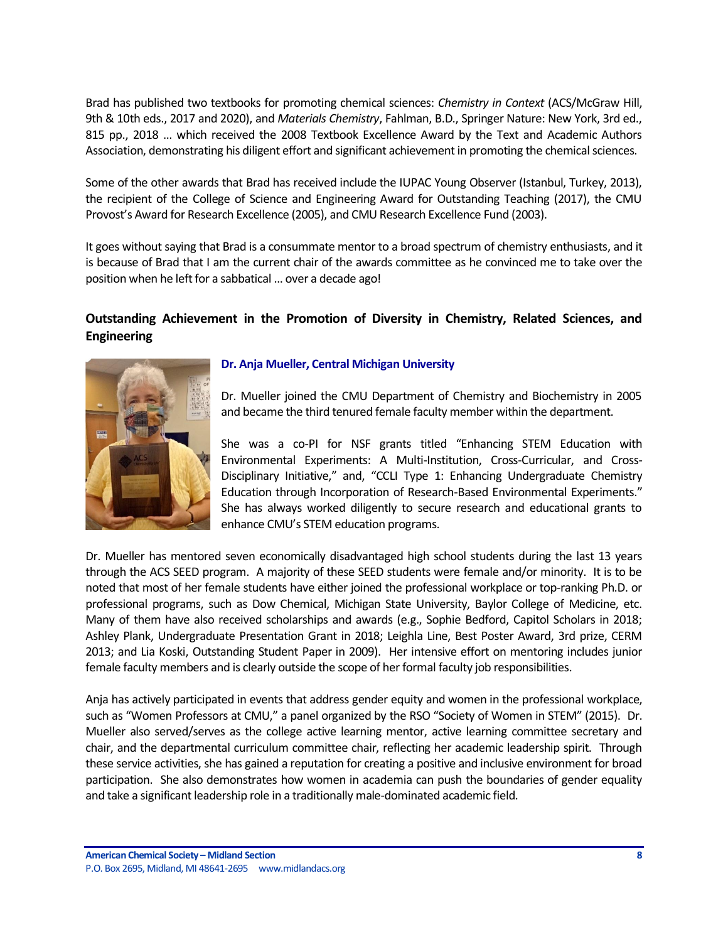Brad has published two textbooks for promoting chemical sciences: *Chemistry in Context* (ACS/McGraw Hill, 9th & 10th eds., 2017 and 2020), and *Materials Chemistry*, Fahlman, B.D., Springer Nature: New York, 3rd ed., 815 pp., 2018 … which received the 2008 Textbook Excellence Award by the Text and Academic Authors Association, demonstrating his diligent effort and significant achievement in promoting the chemical sciences.

Some of the other awards that Brad has received include the IUPAC Young Observer (Istanbul, Turkey, 2013), the recipient of the College of Science and Engineering Award for Outstanding Teaching (2017), the CMU Provost's Award for Research Excellence (2005), and CMU Research Excellence Fund (2003).

It goes without saying that Brad is a consummate mentor to a broad spectrum of chemistry enthusiasts, and it is because of Brad that I am the current chair of the awards committee as he convinced me to take over the position when he left for a sabbatical … over a decade ago!

## **Outstanding Achievement in the Promotion of Diversity in Chemistry, Related Sciences, and Engineering**



## **Dr. Anja Mueller, Central Michigan University**

Dr. Mueller joined the CMU Department of Chemistry and Biochemistry in 2005 and became the third tenured female faculty member within the department.

She was a co-PI for NSF grants titled "Enhancing STEM Education with Environmental Experiments: A Multi-Institution, Cross-Curricular, and Cross-Disciplinary Initiative," and, "CCLI Type 1: Enhancing Undergraduate Chemistry Education through Incorporation of Research-Based Environmental Experiments." She has always worked diligently to secure research and educational grants to enhance CMU's STEM education programs.

Dr. Mueller has mentored seven economically disadvantaged high school students during the last 13 years through the ACS SEED program. A majority of these SEED students were female and/or minority. It is to be noted that most of her female students have either joined the professional workplace or top-ranking Ph.D. or professional programs, such as Dow Chemical, Michigan State University, Baylor College of Medicine, etc. Many of them have also received scholarships and awards (e.g., Sophie Bedford, Capitol Scholars in 2018; Ashley Plank, Undergraduate Presentation Grant in 2018; Leighla Line, Best Poster Award, 3rd prize, CERM 2013; and Lia Koski, Outstanding Student Paper in 2009). Her intensive effort on mentoring includes junior female faculty members and is clearly outside the scope of her formal faculty job responsibilities.

Anja has actively participated in events that address gender equity and women in the professional workplace, such as "Women Professors at CMU," a panel organized by the RSO "Society of Women in STEM" (2015). Dr. Mueller also served/serves as the college active learning mentor, active learning committee secretary and chair, and the departmental curriculum committee chair, reflecting her academic leadership spirit. Through these service activities, she has gained a reputation for creating a positive and inclusive environment for broad participation. She also demonstrates how women in academia can push the boundaries of gender equality and take a significant leadership role in a traditionally male-dominated academic field.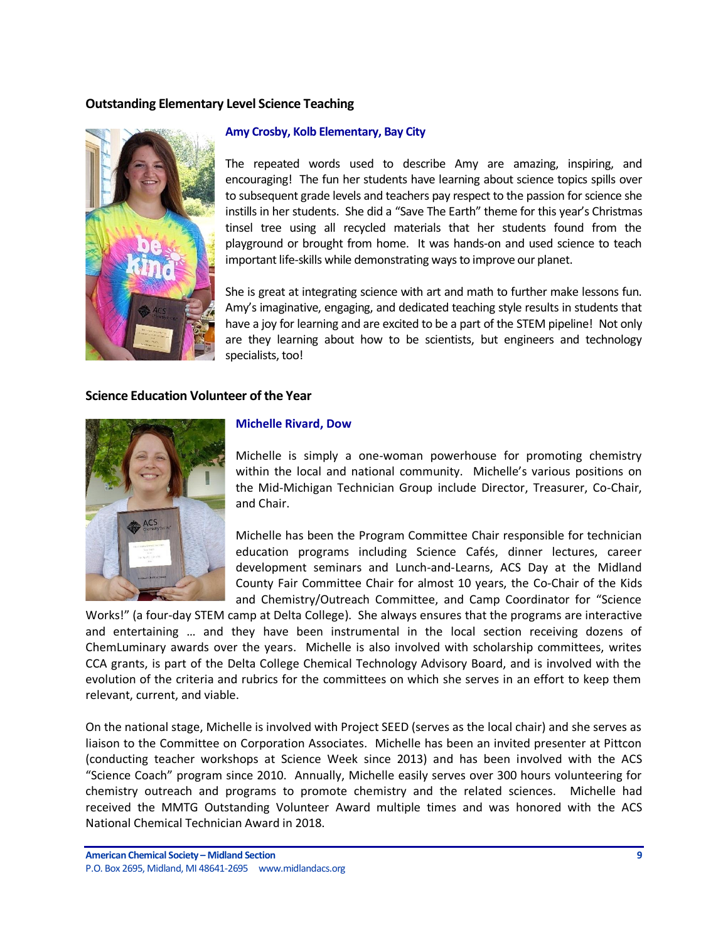## **Outstanding Elementary Level Science Teaching**



#### **Amy Crosby, Kolb Elementary, Bay City**

The repeated words used to describe Amy are amazing, inspiring, and encouraging! The fun her students have learning about science topics spills over to subsequent grade levels and teachers pay respect to the passion for science she instills in her students. She did a "Save The Earth" theme for this year's Christmas tinsel tree using all recycled materials that her students found from the playground or brought from home. It was hands-on and used science to teach important life-skills while demonstrating ways to improve our planet.

She is great at integrating science with art and math to further make lessons fun. Amy's imaginative, engaging, and dedicated teaching style results in students that have a joy for learning and are excited to be a part of the STEM pipeline! Not only are they learning about how to be scientists, but engineers and technology specialists, too!

### **Science Education Volunteer of the Year**



#### **Michelle Rivard, Dow**

Michelle is simply a one-woman powerhouse for promoting chemistry within the local and national community. Michelle's various positions on the Mid-Michigan Technician Group include Director, Treasurer, Co-Chair, and Chair.

Michelle has been the Program Committee Chair responsible for technician education programs including Science Cafés, dinner lectures, career development seminars and Lunch-and-Learns, ACS Day at the Midland County Fair Committee Chair for almost 10 years, the Co-Chair of the Kids and Chemistry/Outreach Committee, and Camp Coordinator for "Science

Works!" (a four-day STEM camp at Delta College). She always ensures that the programs are interactive and entertaining … and they have been instrumental in the local section receiving dozens of ChemLuminary awards over the years. Michelle is also involved with scholarship committees, writes CCA grants, is part of the Delta College Chemical Technology Advisory Board, and is involved with the evolution of the criteria and rubrics for the committees on which she serves in an effort to keep them relevant, current, and viable.

On the national stage, Michelle is involved with Project SEED (serves as the local chair) and she serves as liaison to the Committee on Corporation Associates. Michelle has been an invited presenter at Pittcon (conducting teacher workshops at Science Week since 2013) and has been involved with the ACS "Science Coach" program since 2010. Annually, Michelle easily serves over 300 hours volunteering for chemistry outreach and programs to promote chemistry and the related sciences. Michelle had received the MMTG Outstanding Volunteer Award multiple times and was honored with the ACS National Chemical Technician Award in 2018.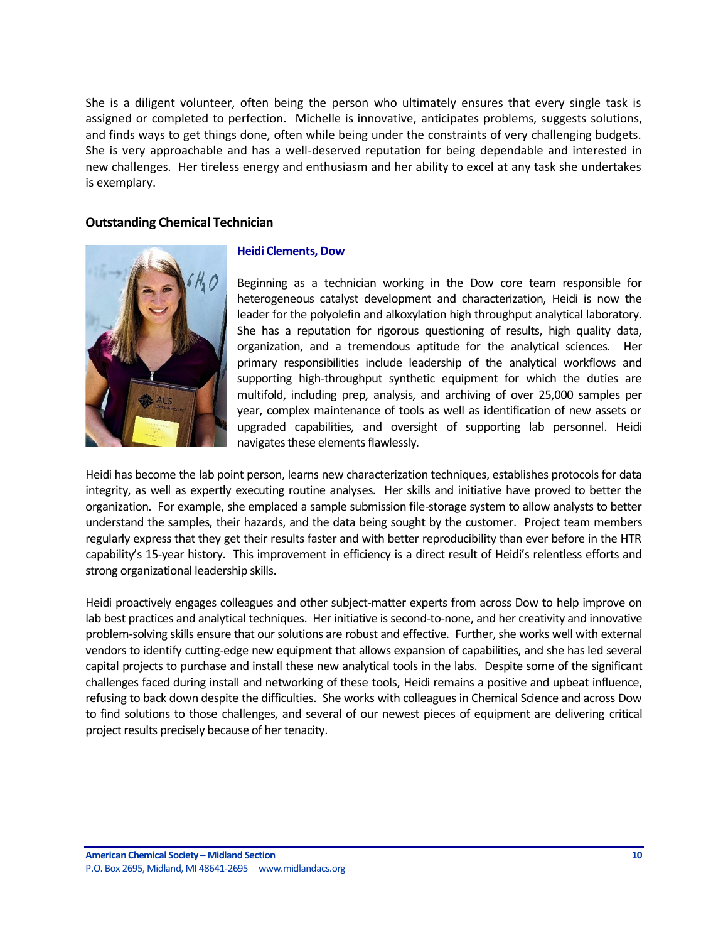She is a diligent volunteer, often being the person who ultimately ensures that every single task is assigned or completed to perfection. Michelle is innovative, anticipates problems, suggests solutions, and finds ways to get things done, often while being under the constraints of very challenging budgets. She is very approachable and has a well-deserved reputation for being dependable and interested in new challenges. Her tireless energy and enthusiasm and her ability to excel at any task she undertakes is exemplary.

## **Outstanding Chemical Technician**



#### **Heidi Clements, Dow**

Beginning as a technician working in the Dow core team responsible for heterogeneous catalyst development and characterization, Heidi is now the leader for the polyolefin and alkoxylation high throughput analytical laboratory. She has a reputation for rigorous questioning of results, high quality data, organization, and a tremendous aptitude for the analytical sciences. Her primary responsibilities include leadership of the analytical workflows and supporting high-throughput synthetic equipment for which the duties are multifold, including prep, analysis, and archiving of over 25,000 samples per year, complex maintenance of tools as well as identification of new assets or upgraded capabilities, and oversight of supporting lab personnel. Heidi navigates these elements flawlessly.

Heidi has become the lab point person, learns new characterization techniques, establishes protocols for data integrity, as well as expertly executing routine analyses. Her skills and initiative have proved to better the organization. For example, she emplaced a sample submission file-storage system to allow analysts to better understand the samples, their hazards, and the data being sought by the customer. Project team members regularly express that they get their results faster and with better reproducibility than ever before in the HTR capability's 15-year history. This improvement in efficiency is a direct result of Heidi's relentless efforts and strong organizational leadership skills.

Heidi proactively engages colleagues and other subject-matter experts from across Dow to help improve on lab best practices and analytical techniques. Her initiative is second-to-none, and her creativity and innovative problem-solving skills ensure that our solutions are robust and effective. Further, she works well with external vendors to identify cutting-edge new equipment that allows expansion of capabilities, and she has led several capital projects to purchase and install these new analytical tools in the labs. Despite some of the significant challenges faced during install and networking of these tools, Heidi remains a positive and upbeat influence, refusing to back down despite the difficulties. She works with colleagues in Chemical Science and across Dow to find solutions to those challenges, and several of our newest pieces of equipment are delivering critical project results precisely because of her tenacity.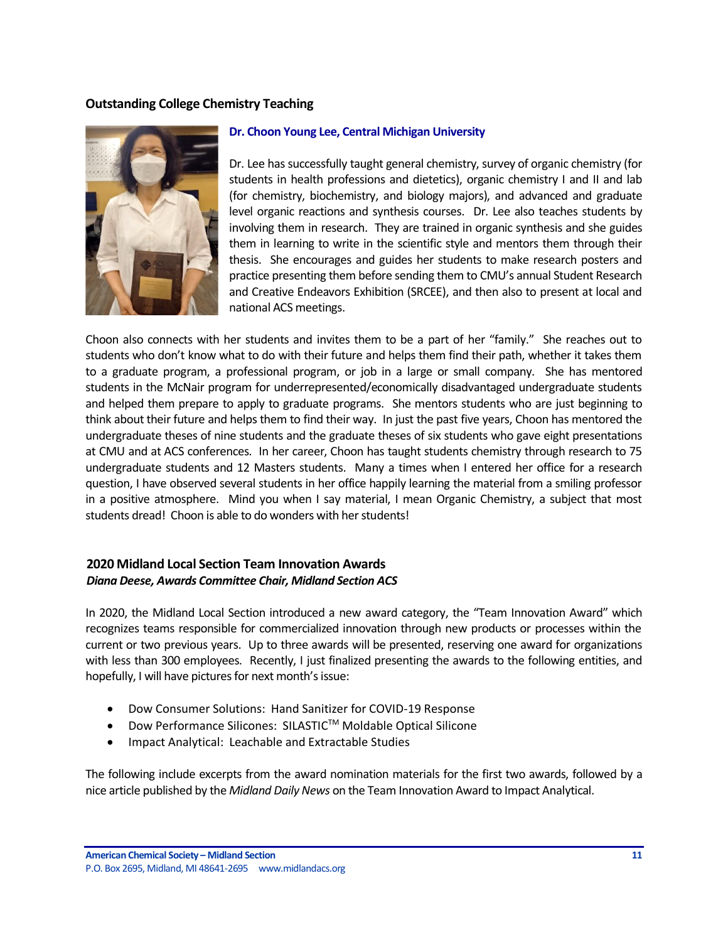## **Outstanding College Chemistry Teaching**



#### **Dr. Choon Young Lee, Central Michigan University**

Dr. Lee has successfully taught general chemistry, survey of organic chemistry (for students in health professions and dietetics), organic chemistry I and II and lab (for chemistry, biochemistry, and biology majors), and advanced and graduate level organic reactions and synthesis courses. Dr. Lee also teaches students by involving them in research. They are trained in organic synthesis and she guides them in learning to write in the scientific style and mentors them through their thesis. She encourages and guides her students to make research posters and practice presenting them before sending them to CMU's annual Student Research and Creative Endeavors Exhibition (SRCEE), and then also to present at local and national ACS meetings.

Choon also connects with her students and invites them to be a part of her "family." She reaches out to students who don't know what to do with their future and helps them find their path, whether it takes them to a graduate program, a professional program, or job in a large or small company. She has mentored students in the McNair program for underrepresented/economically disadvantaged undergraduate students and helped them prepare to apply to graduate programs. She mentors students who are just beginning to think about their future and helps them to find their way. In just the past five years, Choon has mentored the undergraduate theses of nine students and the graduate theses of six students who gave eight presentations at CMU and at ACS conferences. In her career, Choon has taught students chemistry through research to 75 undergraduate students and 12 Masters students. Many a times when I entered her office for a research question, I have observed several students in her office happily learning the material from a smiling professor in a positive atmosphere. Mind you when I say material, I mean Organic Chemistry, a subject that most students dread! Choon is able to do wonders with her students!

## <span id="page-10-0"></span>**2020 Midland Local Section Team Innovation Awards** *Diana Deese, Awards Committee Chair, Midland Section ACS*

In 2020, the Midland Local Section introduced a new award category, the "Team Innovation Award" which recognizes teams responsible for commercialized innovation through new products or processes within the current or two previous years. Up to three awards will be presented, reserving one award for organizations with less than 300 employees. Recently, I just finalized presenting the awards to the following entities, and hopefully, I will have pictures for next month's issue:

- Dow Consumer Solutions: Hand Sanitizer for COVID-19 Response
- Dow Performance Silicones: SILASTIC<sup>™</sup> Moldable Optical Silicone
- Impact Analytical: Leachable and Extractable Studies

The following include excerpts from the award nomination materials for the first two awards, followed by a nice article published by the *Midland Daily News* on the Team Innovation Award to Impact Analytical.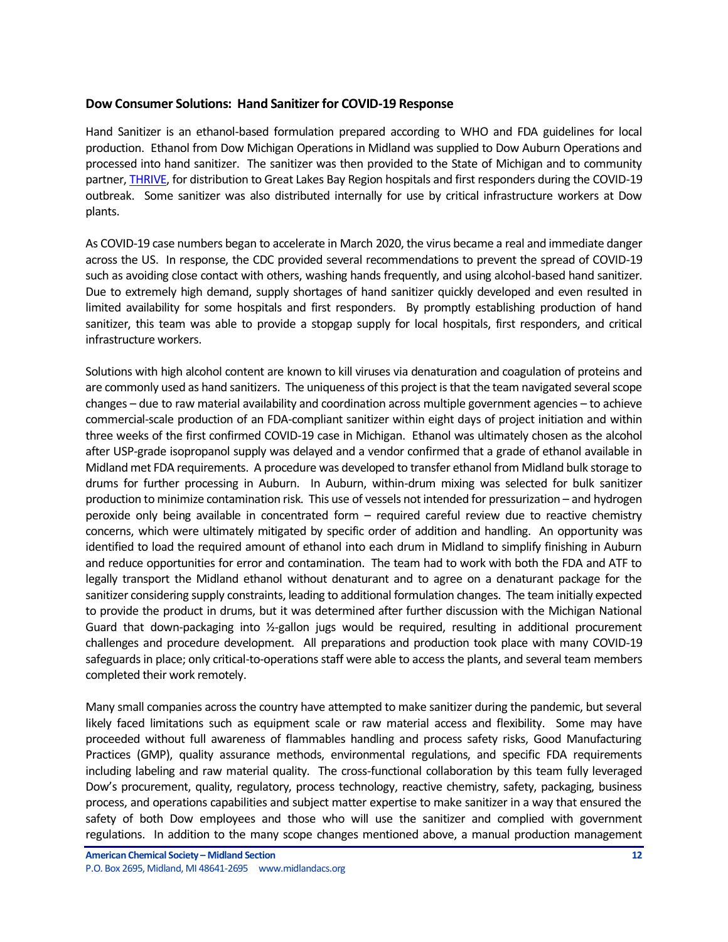### **Dow Consumer Solutions: Hand Sanitizer for COVID-19 Response**

Hand Sanitizer is an ethanol-based formulation prepared according to WHO and FDA guidelines for local production. Ethanol from Dow Michigan Operations in Midland was supplied to Dow Auburn Operations and processed into hand sanitizer. The sanitizer was then provided to the State of Michigan and to community partner, [THRIVE,](https://thrivegreatlakesbay.org/) for distribution to Great Lakes Bay Region hospitals and first responders during the COVID-19 outbreak. Some sanitizer was also distributed internally for use by critical infrastructure workers at Dow plants.

As COVID-19 case numbers began to accelerate in March 2020, the virus became a real and immediate danger across the US. In response, the CDC provided several recommendations to prevent the spread of COVID-19 such as avoiding close contact with others, washing hands frequently, and using alcohol-based hand sanitizer. Due to extremely high demand, supply shortages of hand sanitizer quickly developed and even resulted in limited availability for some hospitals and first responders. By promptly establishing production of hand sanitizer, this team was able to provide a stopgap supply for local hospitals, first responders, and critical infrastructure workers.

Solutions with high alcohol content are known to kill viruses via denaturation and coagulation of proteins and are commonly used as hand sanitizers. The uniqueness of this project is that the team navigated several scope changes – due to raw material availability and coordination across multiple government agencies – to achieve commercial-scale production of an FDA-compliant sanitizer within eight days of project initiation and within three weeks of the first confirmed COVID-19 case in Michigan. Ethanol was ultimately chosen as the alcohol after USP-grade isopropanol supply was delayed and a vendor confirmed that a grade of ethanol available in Midland met FDA requirements. A procedure was developed to transfer ethanol from Midland bulk storage to drums for further processing in Auburn. In Auburn, within-drum mixing was selected for bulk sanitizer production to minimize contamination risk. This use of vessels not intended for pressurization – and hydrogen peroxide only being available in concentrated form – required careful review due to reactive chemistry concerns, which were ultimately mitigated by specific order of addition and handling. An opportunity was identified to load the required amount of ethanol into each drum in Midland to simplify finishing in Auburn and reduce opportunities for error and contamination. The team had to work with both the FDA and ATF to legally transport the Midland ethanol without denaturant and to agree on a denaturant package for the sanitizer considering supply constraints, leading to additional formulation changes. The team initially expected to provide the product in drums, but it was determined after further discussion with the Michigan National Guard that down-packaging into ½-gallon jugs would be required, resulting in additional procurement challenges and procedure development. All preparations and production took place with many COVID-19 safeguards in place; only critical-to-operations staff were able to access the plants, and several team members completed their work remotely.

Many small companies across the country have attempted to make sanitizer during the pandemic, but several likely faced limitations such as equipment scale or raw material access and flexibility. Some may have proceeded without full awareness of flammables handling and process safety risks, Good Manufacturing Practices (GMP), quality assurance methods, environmental regulations, and specific FDA requirements including labeling and raw material quality. The cross-functional collaboration by this team fully leveraged Dow's procurement, quality, regulatory, process technology, reactive chemistry, safety, packaging, business process, and operations capabilities and subject matter expertise to make sanitizer in a way that ensured the safety of both Dow employees and those who will use the sanitizer and complied with government regulations. In addition to the many scope changes mentioned above, a manual production management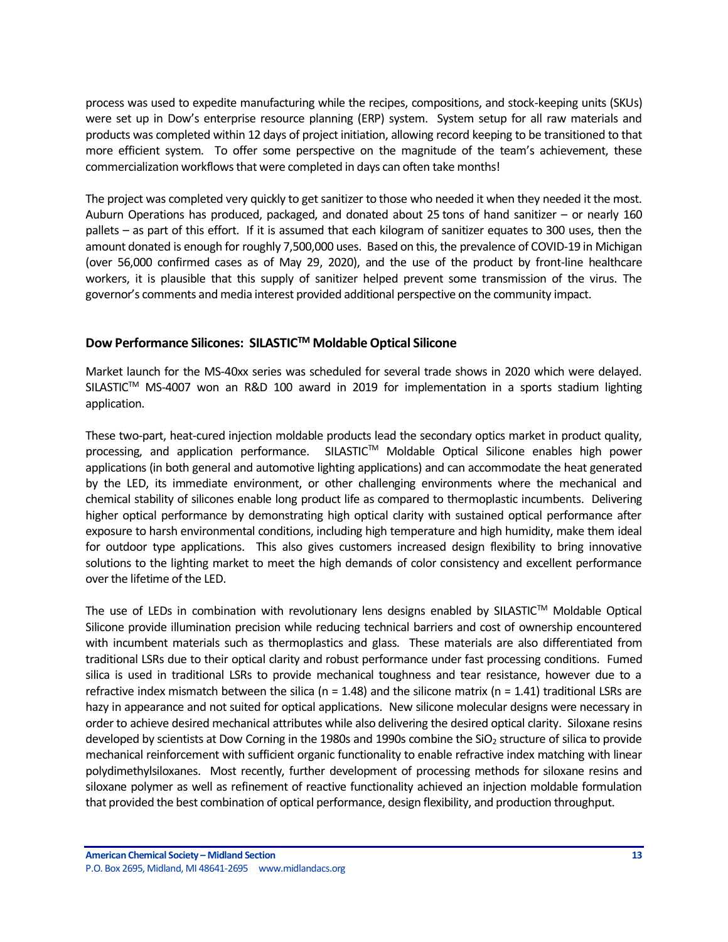process was used to expedite manufacturing while the recipes, compositions, and stock-keeping units (SKUs) were set up in Dow's enterprise resource planning (ERP) system. System setup for all raw materials and products was completed within 12 days of project initiation, allowing record keeping to be transitioned to that more efficient system. To offer some perspective on the magnitude of the team's achievement, these commercialization workflows that were completed in days can often take months!

The project was completed very quickly to get sanitizer to those who needed it when they needed it the most. Auburn Operations has produced, packaged, and donated about 25 tons of hand sanitizer – or nearly 160 pallets – as part of this effort. If it is assumed that each kilogram of sanitizer equates to 300 uses, then the amount donated is enough for roughly 7,500,000 uses. Based on this, the prevalence of COVID-19 in Michigan (over 56,000 confirmed cases as of May 29, 2020), and the use of the product by front-line healthcare workers, it is plausible that this supply of sanitizer helped prevent some transmission of the virus. The governor's comments and media interest provided additional perspective on the community impact.

## **Dow Performance Silicones: SILASTIC<sup>™</sup> Moldable Optical Silicone**

Market launch for the MS-40xx series was scheduled for several trade shows in 2020 which were delayed. SILASTIC<sup>™</sup> MS-4007 won an R&D 100 award in 2019 for implementation in a sports stadium lighting application.

These two-part, heat-cured injection moldable products lead the secondary optics market in product quality, processing, and application performance. SILASTIC™ Moldable Optical Silicone enables high power applications (in both general and automotive lighting applications) and can accommodate the heat generated by the LED, its immediate environment, or other challenging environments where the mechanical and chemical stability of silicones enable long product life as compared to thermoplastic incumbents. Delivering higher optical performance by demonstrating high optical clarity with sustained optical performance after exposure to harsh environmental conditions, including high temperature and high humidity, make them ideal for outdoor type applications. This also gives customers increased design flexibility to bring innovative solutions to the lighting market to meet the high demands of color consistency and excellent performance over the lifetime of the LED.

The use of LEDs in combination with revolutionary lens designs enabled by SILASTIC™ Moldable Optical Silicone provide illumination precision while reducing technical barriers and cost of ownership encountered with incumbent materials such as thermoplastics and glass. These materials are also differentiated from traditional LSRs due to their optical clarity and robust performance under fast processing conditions. Fumed silica is used in traditional LSRs to provide mechanical toughness and tear resistance, however due to a refractive index mismatch between the silica (n = 1.48) and the silicone matrix (n = 1.41) traditional LSRs are hazy in appearance and not suited for optical applications. New silicone molecular designs were necessary in order to achieve desired mechanical attributes while also delivering the desired optical clarity. Siloxane resins developed by scientists at Dow Corning in the 1980s and 1990s combine the SiO<sub>2</sub> structure of silica to provide mechanical reinforcement with sufficient organic functionality to enable refractive index matching with linear polydimethylsiloxanes. Most recently, further development of processing methods for siloxane resins and siloxane polymer as well as refinement of reactive functionality achieved an injection moldable formulation that provided the best combination of optical performance, design flexibility, and production throughput.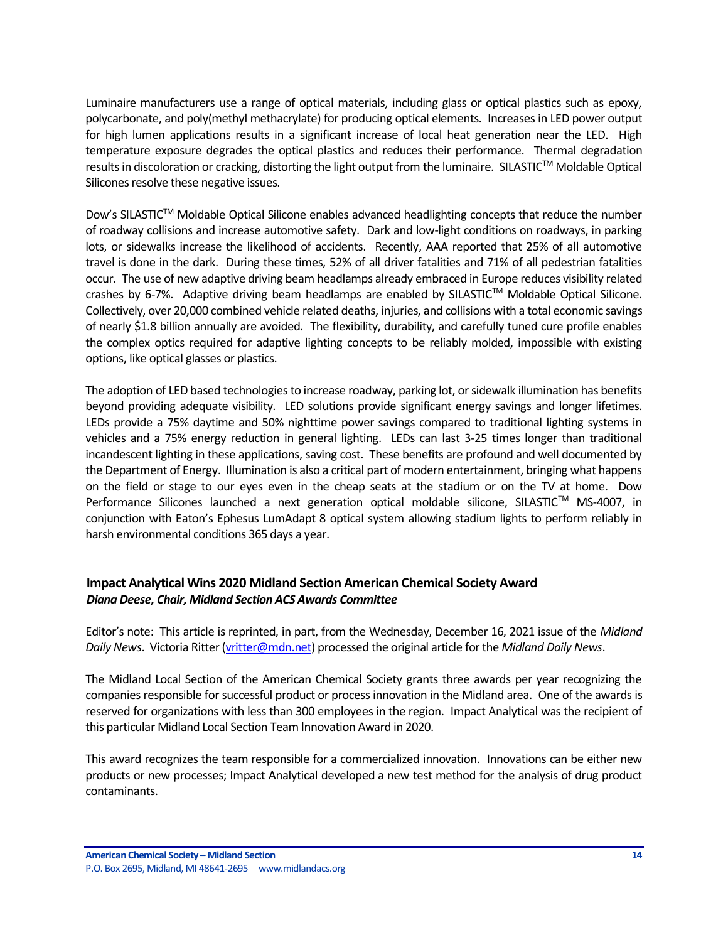Luminaire manufacturers use a range of optical materials, including glass or optical plastics such as epoxy, polycarbonate, and poly(methyl methacrylate) for producing optical elements. Increases in LED power output for high lumen applications results in a significant increase of local heat generation near the LED. High temperature exposure degrades the optical plastics and reduces their performance. Thermal degradation results in discoloration or cracking, distorting the light output from the luminaire. SILASTIC™ Moldable Optical Silicones resolve these negative issues.

Dow's SILASTIC™ Moldable Optical Silicone enables advanced headlighting concepts that reduce the number of roadway collisions and increase automotive safety. Dark and low-light conditions on roadways, in parking lots, or sidewalks increase the likelihood of accidents. Recently, AAA reported that 25% of all automotive travel is done in the dark. During these times, 52% of all driver fatalities and 71% of all pedestrian fatalities occur. The use of new adaptive driving beam headlamps already embraced in Europe reduces visibility related crashes by 6-7%. Adaptive driving beam headlamps are enabled by SILASTIC™ Moldable Optical Silicone. Collectively, over 20,000 combined vehicle related deaths, injuries, and collisions with a total economic savings of nearly \$1.8 billion annually are avoided. The flexibility, durability, and carefully tuned cure profile enables the complex optics required for adaptive lighting concepts to be reliably molded, impossible with existing options, like optical glasses or plastics.

The adoption of LED based technologies to increase roadway, parking lot, or sidewalk illumination has benefits beyond providing adequate visibility. LED solutions provide significant energy savings and longer lifetimes. LEDs provide a 75% daytime and 50% nighttime power savings compared to traditional lighting systems in vehicles and a 75% energy reduction in general lighting. LEDs can last 3-25 times longer than traditional incandescent lighting in these applications, saving cost. These benefits are profound and well documented by the Department of Energy. Illumination is also a critical part of modern entertainment, bringing what happens on the field or stage to our eyes even in the cheap seats at the stadium or on the TV at home. Dow Performance Silicones launched a next generation optical moldable silicone, SILASTIC™ MS-4007, in conjunction with Eaton's Ephesus LumAdapt 8 optical system allowing stadium lights to perform reliably in harsh environmental conditions 365 days a year.

## <span id="page-13-0"></span>**Impact Analytical Wins 2020 Midland Section American Chemical Society Award** *Diana Deese, Chair, Midland Section ACS Awards Committee*

Editor's note: This article is reprinted, in part, from the Wednesday, December 16, 2021 issue of the *Midland Daily News*. Victoria Ritter [\(vritter@mdn.net\)](mailto:vritter@mdn.net) processed the original article for the *Midland Daily News*.

The Midland Local Section of the American Chemical Society grants three awards per year recognizing the companies responsible for successful product or process innovation in the Midland area. One of the awards is reserved for organizations with less than 300 employees in the region. Impact Analytical was the recipient of this particular Midland Local Section Team lnnovation Award in 2020.

This award recognizes the team responsible for a commercialized innovation. Innovations can be either new products or new processes; Impact Analytical developed a new test method for the analysis of drug product contaminants.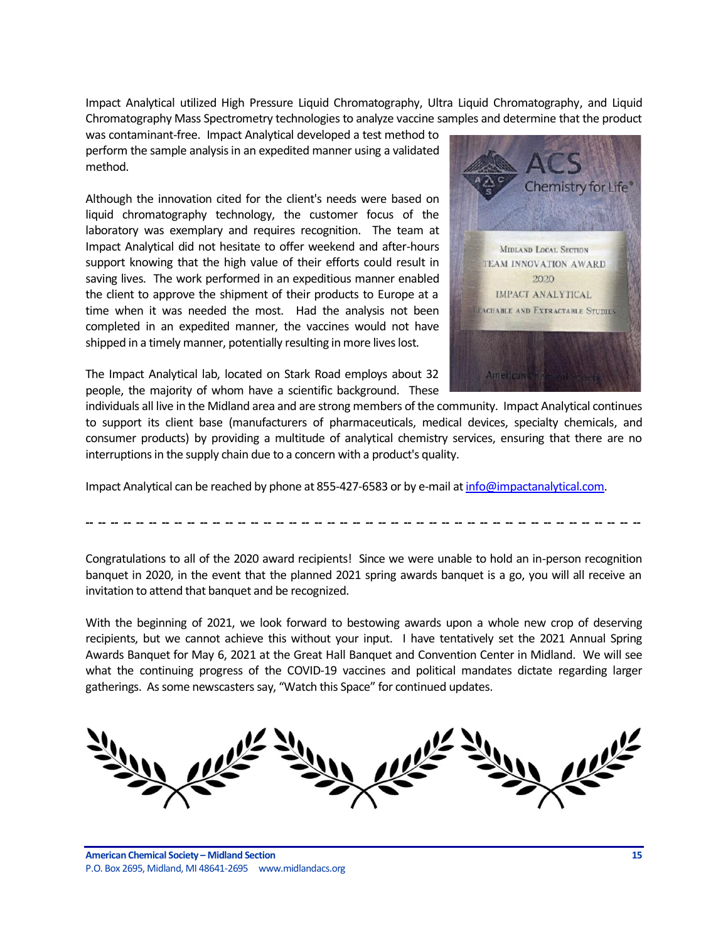Impact Analytical utilized High Pressure Liquid Chromatography, Ultra Liquid Chromatography, and Liquid Chromatography Mass Spectrometry technologies to analyze vaccine samples and determine that the product

was contaminant-free. Impact Analytical developed a test method to perform the sample analysis in an expedited manner using a validated method.

Although the innovation cited for the client's needs were based on liquid chromatography technology, the customer focus of the laboratory was exemplary and requires recognition. The team at Impact Analytical did not hesitate to offer weekend and after-hours support knowing that the high value of their efforts could result in saving lives. The work performed in an expeditious manner enabled the client to approve the shipment of their products to Europe at a time when it was needed the most. Had the analysis not been completed in an expedited manner, the vaccines would not have shipped in a timely manner, potentially resulting in more lives lost.

The Impact Analytical lab, located on Stark Road employs about 32 people, the majority of whom have a scientific background. These



individuals all live in the Midland area and are strong members of the community. Impact Analytical continues to support its client base (manufacturers of pharmaceuticals, medical devices, specialty chemicals, and consumer products) by providing a multitude of analytical chemistry services, ensuring that there are no interruptions in the supply chain due to a concern with a product's quality.

Impact Analytical can be reached by phone at 855-427-6583 or by e-mail a[t info@impactanalytical.com.](mailto:info@impactanalytical.com)

Congratulations to all of the 2020 award recipients! Since we were unable to hold an in-person recognition banquet in 2020, in the event that the planned 2021 spring awards banquet is a go, you will all receive an invitation to attend that banquet and be recognized.

**-- -- -- -- -- -- -- -- -- -- -- -- -- -- -- -- -- -- -- -- -- -- -- -- -- -- -- -- -- -- -- -- -- -- -- -- -- -- -- -- -- -- -- --**

With the beginning of 2021, we look forward to bestowing awards upon a whole new crop of deserving recipients, but we cannot achieve this without your input. I have tentatively set the 2021 Annual Spring Awards Banquet for May 6, 2021 at the Great Hall Banquet and Convention Center in Midland. We will see what the continuing progress of the COVID-19 vaccines and political mandates dictate regarding larger gatherings. As some newscasters say, "Watch this Space" for continued updates.

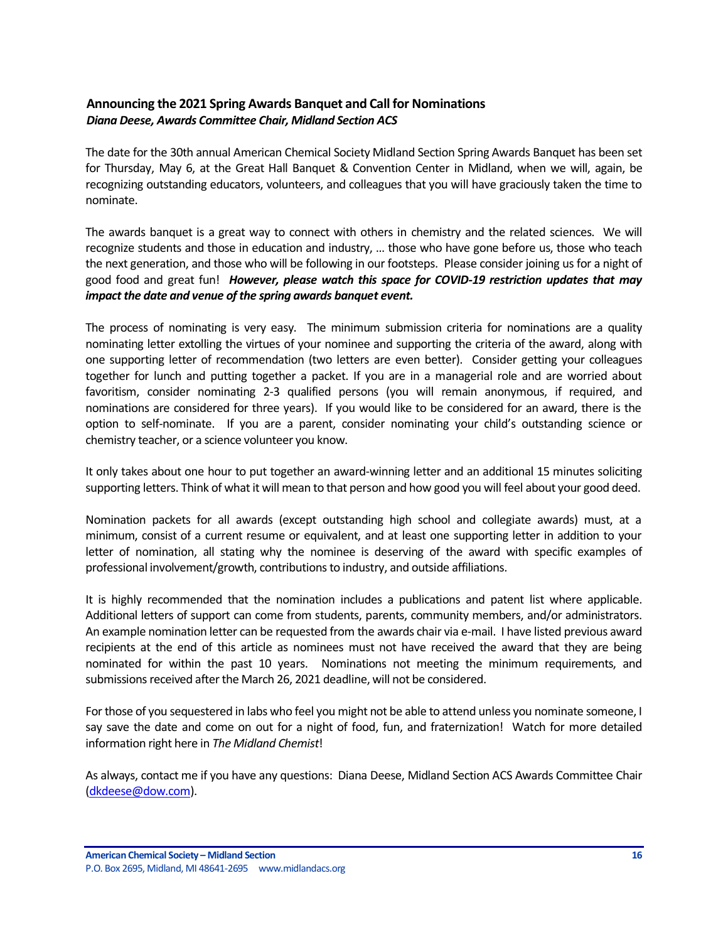## <span id="page-15-0"></span>**Announcing the 2021 Spring Awards Banquet and Call for Nominations** *Diana Deese, Awards Committee Chair, Midland Section ACS*

The date for the 30th annual American Chemical Society Midland Section Spring Awards Banquet has been set for Thursday, May 6, at the Great Hall Banquet & Convention Center in Midland, when we will, again, be recognizing outstanding educators, volunteers, and colleagues that you will have graciously taken the time to nominate.

The awards banquet is a great way to connect with others in chemistry and the related sciences. We will recognize students and those in education and industry, … those who have gone before us, those who teach the next generation, and those who will be following in our footsteps. Please consider joining us for a night of good food and great fun! *However, please watch this space for COVID-19 restriction updates that may impact the date and venue of the spring awards banquet event.*

The process of nominating is very easy. The minimum submission criteria for nominations are a quality nominating letter extolling the virtues of your nominee and supporting the criteria of the award, along with one supporting letter of recommendation (two letters are even better). Consider getting your colleagues together for lunch and putting together a packet. If you are in a managerial role and are worried about favoritism, consider nominating 2-3 qualified persons (you will remain anonymous, if required, and nominations are considered for three years). If you would like to be considered for an award, there is the option to self-nominate. If you are a parent, consider nominating your child's outstanding science or chemistry teacher, or a science volunteer you know.

It only takes about one hour to put together an award-winning letter and an additional 15 minutes soliciting supporting letters. Think of what it will mean to that person and how good you will feel about your good deed.

Nomination packets for all awards (except outstanding high school and collegiate awards) must, at a minimum, consist of a current resume or equivalent, and at least one supporting letter in addition to your letter of nomination, all stating why the nominee is deserving of the award with specific examples of professional involvement/growth, contributions to industry, and outside affiliations.

It is highly recommended that the nomination includes a publications and patent list where applicable. Additional letters of support can come from students, parents, community members, and/or administrators. An example nomination letter can be requested from the awards chair via e-mail. I have listed previous award recipients at the end of this article as nominees must not have received the award that they are being nominated for within the past 10 years. Nominations not meeting the minimum requirements, and submissions received after the March 26, 2021 deadline, will not be considered.

For those of you sequestered in labs who feel you might not be able to attend unless you nominate someone, I say save the date and come on out for a night of food, fun, and fraternization! Watch for more detailed information right here in *The Midland Chemist*!

As always, contact me if you have any questions: Diana Deese, Midland Section ACS Awards Committee Chair [\(dkdeese@dow.com\)](mailto:dkdeese@dow.com).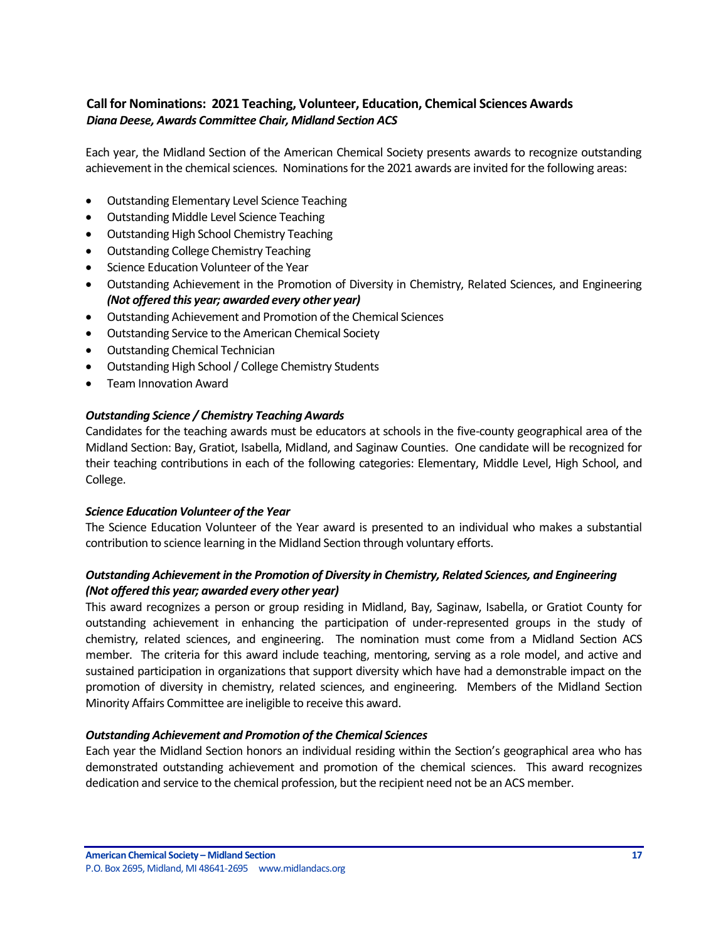## <span id="page-16-0"></span>**Call for Nominations: 2021 Teaching, Volunteer, Education, Chemical Sciences Awards** *Diana Deese, Awards Committee Chair, Midland Section ACS*

Each year, the Midland Section of the American Chemical Society presents awards to recognize outstanding achievement in the chemical sciences. Nominations for the 2021 awards are invited for the following areas:

- Outstanding Elementary Level Science Teaching
- Outstanding Middle Level Science Teaching
- Outstanding High School Chemistry Teaching
- Outstanding College Chemistry Teaching
- Science Education Volunteer of the Year
- Outstanding Achievement in the Promotion of Diversity in Chemistry, Related Sciences, and Engineering *(Not offered this year; awarded every other year)*
- Outstanding Achievement and Promotion of the Chemical Sciences
- Outstanding Service to the American Chemical Society
- Outstanding Chemical Technician
- Outstanding High School / College Chemistry Students
- Team Innovation Award

## *Outstanding Science / Chemistry Teaching Awards*

Candidates for the teaching awards must be educators at schools in the five-county geographical area of the Midland Section: Bay, Gratiot, Isabella, Midland, and Saginaw Counties. One candidate will be recognized for their teaching contributions in each of the following categories: Elementary, Middle Level, High School, and College.

## *Science Education Volunteer of the Year*

The Science Education Volunteer of the Year award is presented to an individual who makes a substantial contribution to science learning in the Midland Section through voluntary efforts.

## *Outstanding Achievement in the Promotion of Diversity in Chemistry, Related Sciences, and Engineering (Not offered this year; awarded every other year)*

This award recognizes a person or group residing in Midland, Bay, Saginaw, Isabella, or Gratiot County for outstanding achievement in enhancing the participation of under-represented groups in the study of chemistry, related sciences, and engineering. The nomination must come from a Midland Section ACS member. The criteria for this award include teaching, mentoring, serving as a role model, and active and sustained participation in organizations that support diversity which have had a demonstrable impact on the promotion of diversity in chemistry, related sciences, and engineering. Members of the Midland Section Minority Affairs Committee are ineligible to receive this award.

## *Outstanding Achievement and Promotion of the Chemical Sciences*

Each year the Midland Section honors an individual residing within the Section's geographical area who has demonstrated outstanding achievement and promotion of the chemical sciences. This award recognizes dedication and service to the chemical profession, but the recipient need not be an ACS member.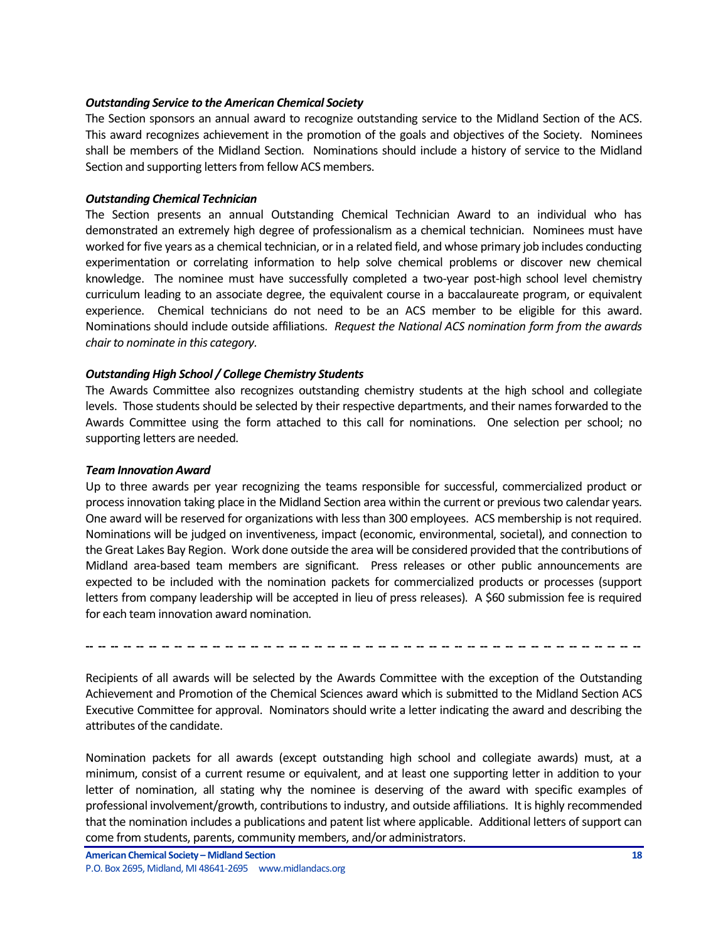#### *Outstanding Service to the American Chemical Society*

The Section sponsors an annual award to recognize outstanding service to the Midland Section of the ACS. This award recognizes achievement in the promotion of the goals and objectives of the Society. Nominees shall be members of the Midland Section. Nominations should include a history of service to the Midland Section and supporting letters from fellow ACS members.

#### *Outstanding Chemical Technician*

The Section presents an annual Outstanding Chemical Technician Award to an individual who has demonstrated an extremely high degree of professionalism as a chemical technician. Nominees must have worked for five years as a chemical technician, or in a related field, and whose primary job includes conducting experimentation or correlating information to help solve chemical problems or discover new chemical knowledge. The nominee must have successfully completed a two-year post-high school level chemistry curriculum leading to an associate degree, the equivalent course in a baccalaureate program, or equivalent experience. Chemical technicians do not need to be an ACS member to be eligible for this award. Nominations should include outside affiliations. *Request the National ACS nomination form from the awards chair to nominate in this category.*

### *Outstanding High School / College Chemistry Students*

The Awards Committee also recognizes outstanding chemistry students at the high school and collegiate levels. Those students should be selected by their respective departments, and their names forwarded to the Awards Committee using the form attached to this call for nominations. One selection per school; no supporting letters are needed.

#### *Team Innovation Award*

Up to three awards per year recognizing the teams responsible for successful, commercialized product or process innovation taking place in the Midland Section area within the current or previous two calendar years. One award will be reserved for organizations with less than 300 employees. ACS membership is not required. Nominations will be judged on inventiveness, impact (economic, environmental, societal), and connection to the Great Lakes Bay Region. Work done outside the area will be considered provided that the contributions of Midland area-based team members are significant. Press releases or other public announcements are expected to be included with the nomination packets for commercialized products or processes (support letters from company leadership will be accepted in lieu of press releases). A \$60 submission fee is required for each team innovation award nomination.

**-- -- -- -- -- -- -- -- -- -- -- -- -- -- -- -- -- -- -- -- -- -- -- -- -- -- -- -- -- -- -- -- -- -- -- -- -- -- -- -- -- -- -- --**

Recipients of all awards will be selected by the Awards Committee with the exception of the Outstanding Achievement and Promotion of the Chemical Sciences award which is submitted to the Midland Section ACS Executive Committee for approval. Nominators should write a letter indicating the award and describing the attributes of the candidate.

Nomination packets for all awards (except outstanding high school and collegiate awards) must, at a minimum, consist of a current resume or equivalent, and at least one supporting letter in addition to your letter of nomination, all stating why the nominee is deserving of the award with specific examples of professional involvement/growth, contributions to industry, and outside affiliations. It is highly recommended that the nomination includes a publications and patent list where applicable. Additional letters of support can come from students, parents, community members, and/or administrators.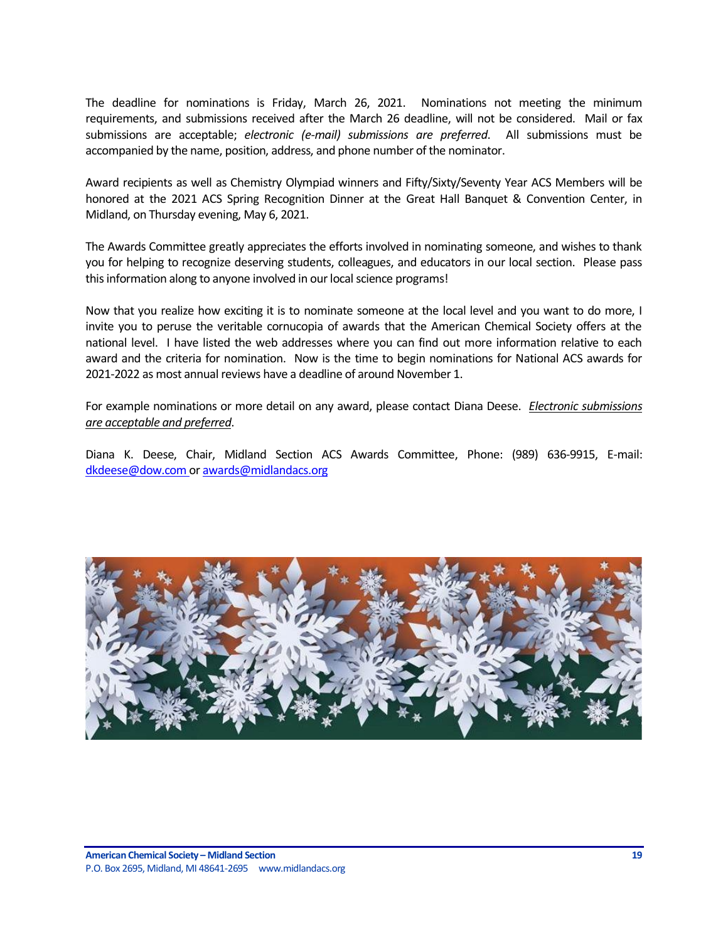The deadline for nominations is Friday, March 26, 2021. Nominations not meeting the minimum requirements, and submissions received after the March 26 deadline, will not be considered. Mail or fax submissions are acceptable; *electronic (e-mail) submissions are preferred*. All submissions must be accompanied by the name, position, address, and phone number of the nominator.

Award recipients as well as Chemistry Olympiad winners and Fifty/Sixty/Seventy Year ACS Members will be honored at the 2021 ACS Spring Recognition Dinner at the Great Hall Banquet & Convention Center, in Midland, on Thursday evening, May 6, 2021.

The Awards Committee greatly appreciates the efforts involved in nominating someone, and wishes to thank you for helping to recognize deserving students, colleagues, and educators in our local section. Please pass this information along to anyone involved in our local science programs!

Now that you realize how exciting it is to nominate someone at the local level and you want to do more, I invite you to peruse the veritable cornucopia of awards that the American Chemical Society offers at the national level. I have listed the web addresses where you can find out more information relative to each award and the criteria for nomination. Now is the time to begin nominations for National ACS awards for 2021-2022 as most annual reviews have a deadline of around November 1.

For example nominations or more detail on any award, please contact Diana Deese. *Electronic submissions are acceptable and preferred*.

Diana K. Deese, Chair, Midland Section ACS Awards Committee, Phone: (989) 636-9915, E-mail: [dkdeese@dow.com](mailto:dkdeese@dow.com) o[r awards@midlandacs.org](mailto:awards@midlandacs.org)

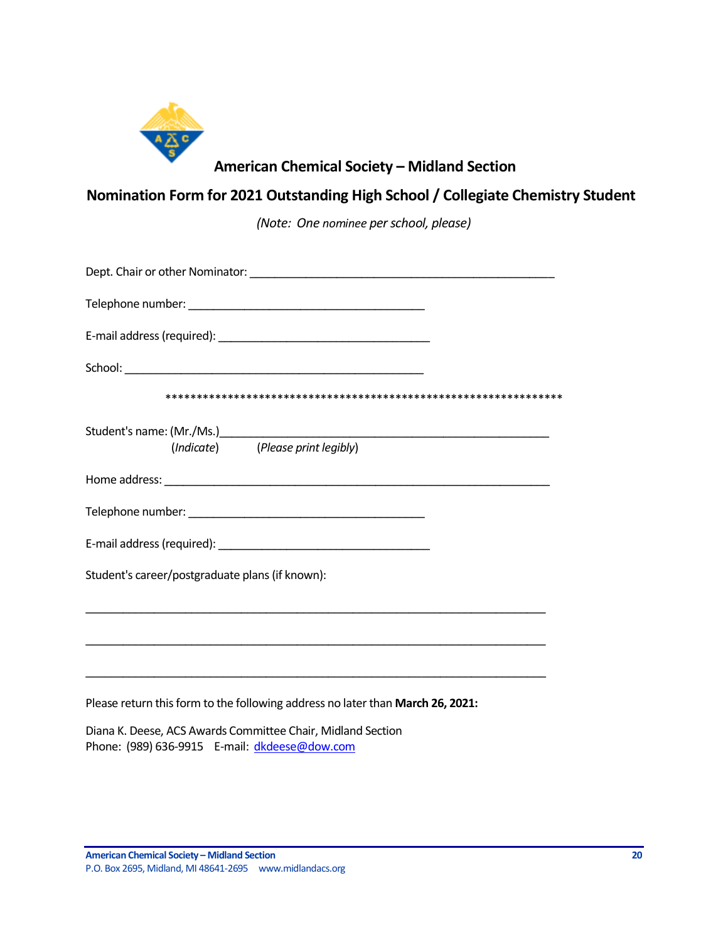

# **American Chemical Society – Midland Section**

# **Nomination Form for 2021 Outstanding High School / Collegiate Chemistry Student**

*(Note: One nominee per school, please)*

| (Indicate) (Please print legibly)                                                                                     |
|-----------------------------------------------------------------------------------------------------------------------|
|                                                                                                                       |
|                                                                                                                       |
|                                                                                                                       |
| Student's career/postgraduate plans (if known):                                                                       |
| <u> 1989 - Johann Harry Harry Harry Harry Harry Harry Harry Harry Harry Harry Harry Harry Harry Harry Harry Harry</u> |
| ,我们也不能在这里的人,我们也不能在这里的人,我们也不能在这里的人,我们也不能在这里的人,我们也不能在这里的人,我们也不能在这里的人,我们也不能在这里的人,我们也                                     |
| Please return this form to the following address no later than March 26, 2021:                                        |

Diana K. Deese, ACS Awards Committee Chair, Midland Section Phone: (989) 636-9915 E-mail: [dkdeese@dow.com](mailto:dkdeese@dow.com)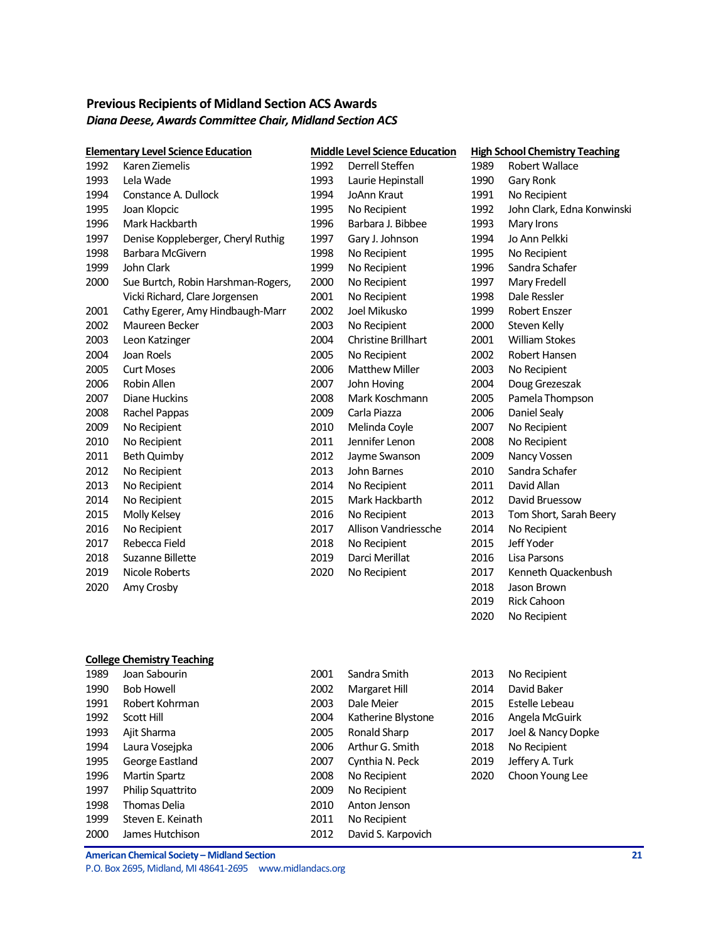## <span id="page-20-0"></span>**Previous Recipients of Midland Section ACS Awards** *Diana Deese, Awards Committee Chair, Midland Section ACS*

|      | <b>Elementary Level Science Education</b> |      | <b>Middle Level Science Education</b> |      | <b>High School Chemistry Teaching</b> |
|------|-------------------------------------------|------|---------------------------------------|------|---------------------------------------|
| 1992 | Karen Ziemelis                            | 1992 | Derrell Steffen                       | 1989 | Robert Wallace                        |
| 1993 | Lela Wade                                 | 1993 | Laurie Hepinstall                     | 1990 | Gary Ronk                             |
| 1994 | Constance A. Dullock                      | 1994 | JoAnn Kraut                           | 1991 | No Recipient                          |
| 1995 | Joan Klopcic                              | 1995 | No Recipient                          | 1992 | John Clark, Edna Konwinski            |
| 1996 | Mark Hackbarth                            | 1996 | Barbara J. Bibbee                     | 1993 | Mary Irons                            |
| 1997 | Denise Koppleberger, Cheryl Ruthig        | 1997 | Gary J. Johnson                       | 1994 | Jo Ann Pelkki                         |
| 1998 | Barbara McGivern                          | 1998 | No Recipient                          | 1995 | No Recipient                          |
| 1999 | John Clark                                | 1999 | No Recipient                          | 1996 | Sandra Schafer                        |
| 2000 | Sue Burtch, Robin Harshman-Rogers,        | 2000 | No Recipient                          | 1997 | Mary Fredell                          |
|      | Vicki Richard, Clare Jorgensen            | 2001 | No Recipient                          | 1998 | Dale Ressler                          |
| 2001 | Cathy Egerer, Amy Hindbaugh-Marr          | 2002 | Joel Mikusko                          | 1999 | Robert Enszer                         |
| 2002 | Maureen Becker                            | 2003 | No Recipient                          | 2000 | Steven Kelly                          |
| 2003 | Leon Katzinger                            | 2004 | Christine Brillhart                   | 2001 | <b>William Stokes</b>                 |
| 2004 | Joan Roels                                | 2005 | No Recipient                          | 2002 | Robert Hansen                         |
| 2005 | <b>Curt Moses</b>                         | 2006 | <b>Matthew Miller</b>                 | 2003 | No Recipient                          |
| 2006 | Robin Allen                               | 2007 | John Hoving                           | 2004 | Doug Grezeszak                        |
| 2007 | Diane Huckins                             | 2008 | Mark Koschmann                        | 2005 | Pamela Thompson                       |
| 2008 | Rachel Pappas                             | 2009 | Carla Piazza                          | 2006 | Daniel Sealy                          |
| 2009 | No Recipient                              | 2010 | Melinda Coyle                         | 2007 | No Recipient                          |
| 2010 | No Recipient                              | 2011 | Jennifer Lenon                        | 2008 | No Recipient                          |
| 2011 | <b>Beth Quimby</b>                        | 2012 | Jayme Swanson                         | 2009 | Nancy Vossen                          |
| 2012 | No Recipient                              | 2013 | John Barnes                           | 2010 | Sandra Schafer                        |
| 2013 | No Recipient                              | 2014 | No Recipient                          | 2011 | David Allan                           |
| 2014 | No Recipient                              | 2015 | Mark Hackbarth                        | 2012 | David Bruessow                        |
| 2015 | Molly Kelsey                              | 2016 | No Recipient                          | 2013 | Tom Short, Sarah Beery                |
| 2016 | No Recipient                              | 2017 | Allison Vandriessche                  | 2014 | No Recipient                          |
| 2017 | Rebecca Field                             | 2018 | No Recipient                          | 2015 | Jeff Yoder                            |
| 2018 | Suzanne Billette                          | 2019 | Darci Merillat                        | 2016 | Lisa Parsons                          |
| 2019 | Nicole Roberts                            | 2020 | No Recipient                          | 2017 | Kenneth Quackenbush                   |
| 2020 | Amy Crosby                                |      |                                       | 2018 | Jason Brown                           |
|      |                                           |      |                                       | 2019 | Rick Cahoon                           |
|      |                                           |      |                                       | 2020 | No Recipient                          |
|      |                                           |      |                                       |      |                                       |
|      |                                           |      |                                       |      |                                       |
|      | <b>College Chemistry Teaching</b>         |      |                                       |      |                                       |
| 1989 | Joan Sabourin                             | 2001 | Sandra Smith                          | 2013 | No Recipient                          |
| 1990 | <b>Bob Howell</b>                         | 2002 | Margaret Hill                         | 2014 | David Baker                           |
| 1991 | Robert Kohrman                            | 2003 | Dale Meier                            | 2015 | Estelle Lebeau                        |
| 1992 | Scott Hill                                | 2004 | Katherine Blystone                    | 2016 | Angela McGuirk                        |
| 1993 | Ajit Sharma                               | 2005 | Ronald Sharp                          | 2017 | Joel & Nancy Dopke                    |
| 1994 | Laura Vosejpka                            | 2006 | Arthur G. Smith                       | 2018 | No Recipient                          |
| 1995 | George Eastland                           | 2007 | Cynthia N. Peck                       | 2019 | Jeffery A. Turk                       |
| 1996 | <b>Martin Spartz</b>                      | 2008 | No Recipient                          | 2020 | Choon Young Lee                       |
| 1997 | Philip Squattrito                         | 2009 | No Recipient                          |      |                                       |
| 1998 | Thomas Delia                              | 2010 | Anton Jenson                          |      |                                       |
| 1999 | Steven E. Keinath                         | 2011 | No Recipient                          |      |                                       |
| 2000 | James Hutchison                           | 2012 | David S. Karpovich                    |      |                                       |

**American Chemical Society – Midland Section 21** P.O. Box 2695, Midland, MI 48641-2695 www.midlandacs.org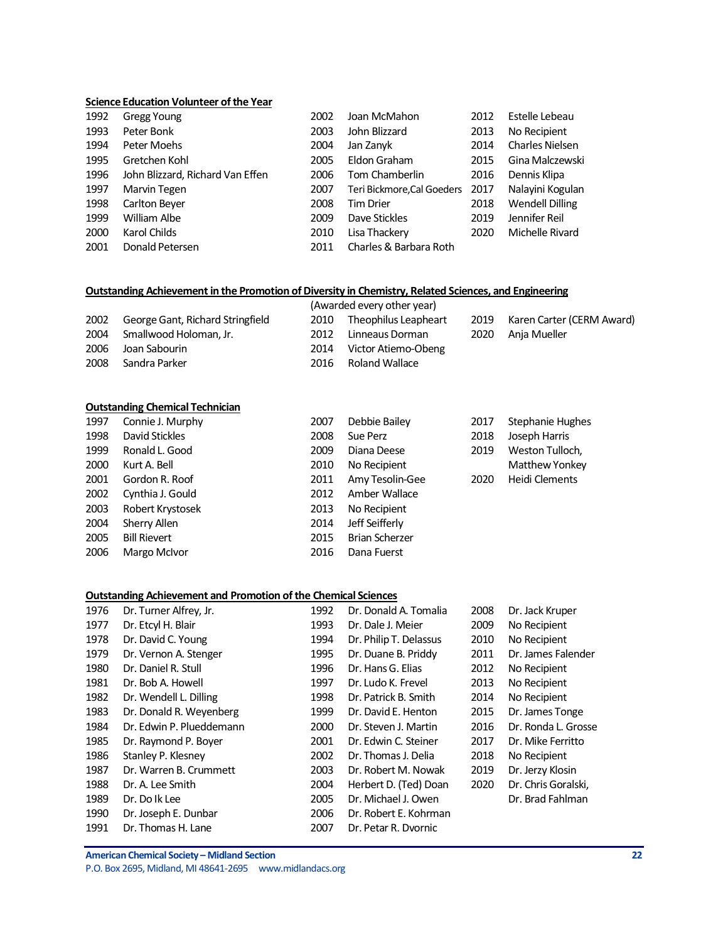#### **Science Education Volunteer of the Year**

| 1992 | Gregg Young                      | 2002 | Joan McMahon               | 2012 | Estelle Lebeau         |
|------|----------------------------------|------|----------------------------|------|------------------------|
| 1993 | Peter Bonk                       | 2003 | John Blizzard              | 2013 | No Recipient           |
| 1994 | Peter Moehs                      | 2004 | Jan Zanyk                  | 2014 | <b>Charles Nielsen</b> |
| 1995 | Gretchen Kohl                    | 2005 | Eldon Graham               | 2015 | Gina Malczewski        |
| 1996 | John Blizzard, Richard Van Effen | 2006 | Tom Chamberlin             | 2016 | Dennis Klipa           |
| 1997 | Marvin Tegen                     | 2007 | Teri Bickmore, Cal Goeders | 2017 | Nalayini Kogulan       |
| 1998 | Carlton Beyer                    | 2008 | <b>Tim Drier</b>           | 2018 | <b>Wendell Dilling</b> |
| 1999 | William Albe                     | 2009 | Dave Stickles              | 2019 | Jennifer Reil          |
| 2000 | Karol Childs                     | 2010 | Lisa Thackery              | 2020 | Michelle Rivard        |
| 2001 | Donald Petersen                  | 2011 | Charles & Barbara Roth     |      |                        |

### **Outstanding Achievement in the Promotion of Diversity in Chemistry, Related Sciences, and Engineering**

|      |                                  |      | (Awarded every other year) |      |                           |
|------|----------------------------------|------|----------------------------|------|---------------------------|
| 2002 | George Gant, Richard Stringfield | 2010 | Theophilus Leapheart       | 2019 | Karen Carter (CERM Award) |
| 2004 | Smallwood Holoman, Jr.           | 2012 | Linneaus Dorman            |      | 2020 Anja Mueller         |
| 2006 | Joan Sabourin                    | 2014 | Victor Atiemo-Obeng        |      |                           |
| 2008 | Sandra Parker                    | 2016 | Roland Wallace             |      |                           |
|      |                                  |      |                            |      |                           |

#### **Outstanding Chemical Technician**

| 1997 | Connie J. Murphy    | 2007 | Debbie Bailey         | 2017 | Stephanie Hughes |
|------|---------------------|------|-----------------------|------|------------------|
| 1998 | David Stickles      | 2008 | Sue Perz              | 2018 | Joseph Harris    |
| 1999 | Ronald L. Good      | 2009 | Diana Deese           | 2019 | Weston Tulloch,  |
| 2000 | Kurt A. Bell        | 2010 | No Recipient          |      | Matthew Yonkey   |
| 2001 | Gordon R. Roof      | 2011 | Amy Tesolin-Gee       | 2020 | Heidi Clements   |
| 2002 | Cynthia J. Gould    | 2012 | Amber Wallace         |      |                  |
| 2003 | Robert Krystosek    | 2013 | No Recipient          |      |                  |
| 2004 | Sherry Allen        | 2014 | Jeff Seifferly        |      |                  |
| 2005 | <b>Bill Rievert</b> | 2015 | <b>Brian Scherzer</b> |      |                  |
| 2006 | Margo McIvor        | 2016 | Dana Fuerst           |      |                  |

#### **Outstanding Achievement and Promotion of the Chemical Sciences**

| 1976 | Dr. Turner Alfrey, Jr.   | 1992 | Dr. Donald A. Tomalia  | 2008 | Dr. Jack Kruper     |
|------|--------------------------|------|------------------------|------|---------------------|
| 1977 | Dr. Etcyl H. Blair       | 1993 | Dr. Dale J. Meier      | 2009 | No Recipient        |
| 1978 | Dr. David C. Young       | 1994 | Dr. Philip T. Delassus | 2010 | No Recipient        |
| 1979 | Dr. Vernon A. Stenger    | 1995 | Dr. Duane B. Priddy    | 2011 | Dr. James Falender  |
| 1980 | Dr. Daniel R. Stull      | 1996 | Dr. Hans G. Elias      | 2012 | No Recipient        |
| 1981 | Dr. Bob A. Howell        | 1997 | Dr. Ludo K. Frevel     | 2013 | No Recipient        |
| 1982 | Dr. Wendell L. Dilling   | 1998 | Dr. Patrick B. Smith   | 2014 | No Recipient        |
| 1983 | Dr. Donald R. Weyenberg  | 1999 | Dr. David E. Henton    | 2015 | Dr. James Tonge     |
| 1984 | Dr. Edwin P. Plueddemann | 2000 | Dr. Steven J. Martin   | 2016 | Dr. Ronda L. Grosse |
| 1985 | Dr. Raymond P. Boyer     | 2001 | Dr. Edwin C. Steiner   | 2017 | Dr. Mike Ferritto   |
| 1986 | Stanley P. Klesney       | 2002 | Dr. Thomas J. Delia    | 2018 | No Recipient        |
| 1987 | Dr. Warren B. Crummett   | 2003 | Dr. Robert M. Nowak    | 2019 | Dr. Jerzy Klosin    |
| 1988 | Dr. A. Lee Smith         | 2004 | Herbert D. (Ted) Doan  | 2020 | Dr. Chris Goralski, |
| 1989 | Dr. Do Ik Lee            | 2005 | Dr. Michael J. Owen    |      | Dr. Brad Fahlman    |
| 1990 | Dr. Joseph E. Dunbar     | 2006 | Dr. Robert E. Kohrman  |      |                     |
| 1991 | Dr. Thomas H. Lane       | 2007 | Dr. Petar R. Dvornic   |      |                     |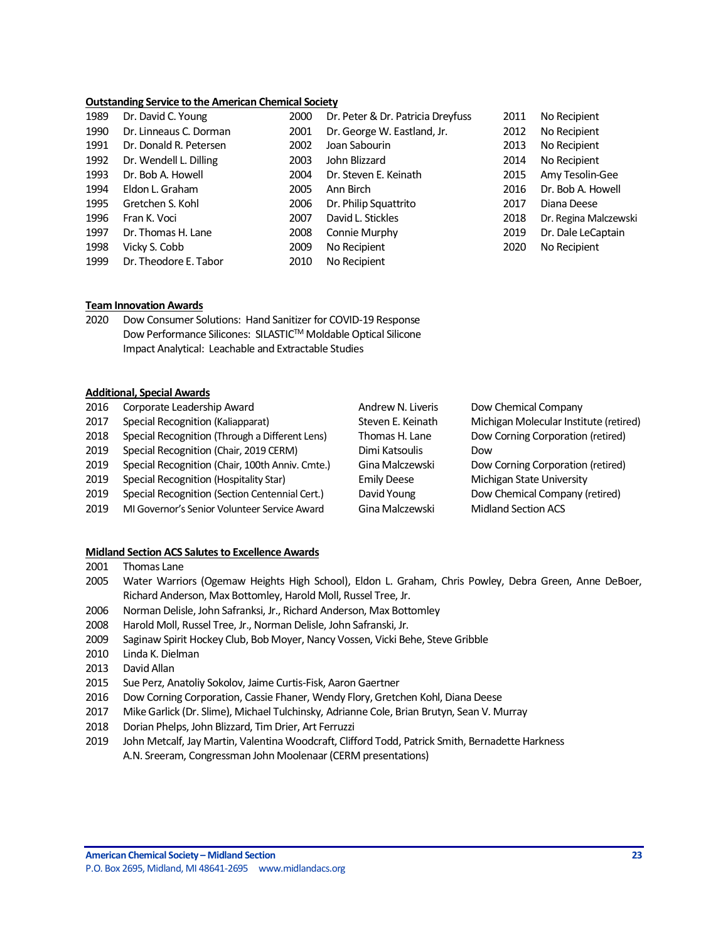#### **Outstanding Service to the American Chemical Society**

| Dr. David C. Young     | 2000 | Dr. Peter & Dr. Patricia Dreyfuss | 2011 | No Recipient  |
|------------------------|------|-----------------------------------|------|---------------|
| Dr. Linneaus C. Dorman | 2001 | Dr. George W. Eastland, Jr.       | 2012 | No Recipient  |
| Dr. Donald R. Petersen | 2002 | Joan Sabourin                     | 2013 | No Recipient  |
| Dr. Wendell L. Dilling | 2003 | John Blizzard                     | 2014 | No Recipient  |
| Dr. Bob A. Howell      | 2004 | Dr. Steven E. Keinath             | 2015 | Amy Tesolin-  |
| Eldon L. Graham        | 2005 | Ann Birch                         | 2016 | Dr. Bob A. Ho |
| Gretchen S. Kohl       | 2006 | Dr. Philip Squattrito             | 2017 | Diana Deese   |
| Fran K. Voci           | 2007 | David L. Stickles                 | 2018 | Dr. Regina Ma |
| Dr. Thomas H. Lane     | 2008 | Connie Murphy                     | 2019 | Dr. Dale LeCa |
| Vicky S. Cobb          | 2009 | No Recipient                      | 2020 | No Recipient  |
| Dr. Theodore E. Tabor  | 2010 | No Recipient                      |      |               |
|                        |      |                                   |      |               |

2012 No Recipient 2014 No Recipient 2015 Amy Tesolin-Gee 2016 Dr. Bob A. Howell 2018 Dr. Regina Malczewski 2019 Dr. Dale LeCaptain 2020 No Recipient

#### **Team Innovation Awards**

2020 Dow Consumer Solutions: Hand Sanitizer for COVID-19 Response Dow Performance Silicones: SILASTIC™ Moldable Optical Silicone Impact Analytical: Leachable and Extractable Studies

#### **Additional, Special Awards**

| 2016 | Corporate Leadership Award                      | Andrew N. Liveris  | Dow Chemical Company                   |
|------|-------------------------------------------------|--------------------|----------------------------------------|
| 2017 | Special Recognition (Kaliapparat)               | Steven E. Keinath  | Michigan Molecular Institute (retired) |
| 2018 | Special Recognition (Through a Different Lens)  | Thomas H. Lane     | Dow Corning Corporation (retired)      |
| 2019 | Special Recognition (Chair, 2019 CERM)          | Dimi Katsoulis     | Dow                                    |
| 2019 | Special Recognition (Chair, 100th Anniv. Cmte.) | Gina Malczewski    | Dow Corning Corporation (retired)      |
| 2019 | Special Recognition (Hospitality Star)          | <b>Emily Deese</b> | Michigan State University              |
| 2019 | Special Recognition (Section Centennial Cert.)  | David Young        | Dow Chemical Company (retired)         |
| 2019 | MI Governor's Senior Volunteer Service Award    | Gina Malczewski    | <b>Midland Section ACS</b>             |
|      |                                                 |                    |                                        |

#### **Midland Section ACS Salutes to Excellence Awards**

- 2001 Thomas Lane
- 2005 Water Warriors (Ogemaw Heights High School), Eldon L. Graham, Chris Powley, Debra Green, Anne DeBoer, Richard Anderson, Max Bottomley, Harold Moll, Russel Tree, Jr.
- 2006 Norman Delisle, John Safranksi, Jr., Richard Anderson, Max Bottomley
- 2008 Harold Moll, Russel Tree, Jr., Norman Delisle, John Safranski, Jr.
- 2009 Saginaw Spirit Hockey Club, Bob Moyer, Nancy Vossen, Vicki Behe, Steve Gribble
- 2010 Linda K. Dielman
- 2013 David Allan
- 2015 Sue Perz, Anatoliy Sokolov, Jaime Curtis-Fisk, Aaron Gaertner
- 2016 Dow Corning Corporation, Cassie Fhaner, Wendy Flory, Gretchen Kohl, Diana Deese
- 2017 Mike Garlick (Dr. Slime), Michael Tulchinsky, Adrianne Cole, Brian Brutyn, Sean V. Murray
- 2018 Dorian Phelps, John Blizzard, Tim Drier, Art Ferruzzi
- 2019 John Metcalf, Jay Martin, Valentina Woodcraft, Clifford Todd, Patrick Smith, Bernadette Harkness A.N. Sreeram, Congressman John Moolenaar (CERM presentations)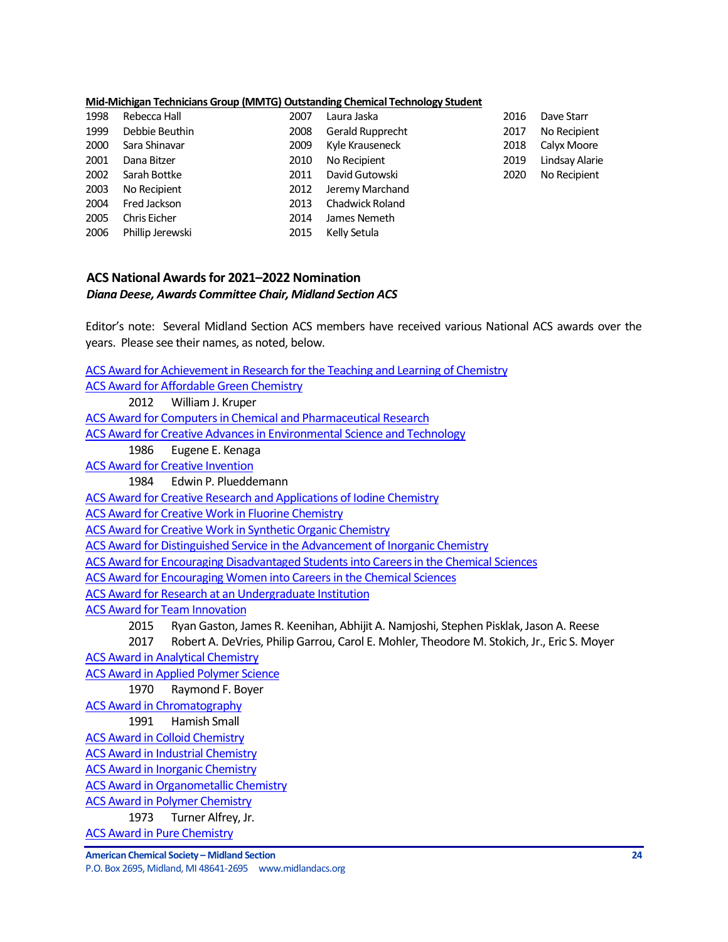#### **Mid-Michigan Technicians Group (MMTG) Outstanding Chemical Technology Student**

| 1998 | Rebecca Hall        | 2007 | Laura Jaska            | 2016 | Dave Starr     |
|------|---------------------|------|------------------------|------|----------------|
| 1999 | Debbie Beuthin      | 2008 | Gerald Rupprecht       | 2017 | No Recipient   |
| 2000 | Sara Shinavar       | 2009 | Kyle Krauseneck        | 2018 | Calyx Moore    |
| 2001 | Dana Bitzer         | 2010 | No Recipient           | 2019 | Lindsay Alarie |
| 2002 | Sarah Bottke        | 2011 | David Gutowski         | 2020 | No Recipient   |
| 2003 | No Recipient        | 2012 | Jeremy Marchand        |      |                |
| 2004 | Fred Jackson        | 2013 | <b>Chadwick Roland</b> |      |                |
| 2005 | <b>Chris Eicher</b> | 2014 | James Nemeth           |      |                |
| 2006 | Phillip Jerewski    | 2015 | Kelly Setula           |      |                |

## <span id="page-23-0"></span>**ACS National Awardsfor 2021–2022 Nomination** *Diana Deese, Awards Committee Chair, Midland Section ACS*

Editor's note: Several Midland Section ACS members have received various National ACS awards over the years. Please see their names, as noted, below.

**American Chemical Society – Midland Section 24** P.O. Box 2695, Midland, MI 48641-2695 www.midlandacs.org [ACS Award for Achievement in Research for the Teaching](http://www.acs.org/content/acs/en/funding-and-awards/awards/national/bytopic/acs-award-for-achievement-in-research-for-the-teaching-and-learning-of-chemistry.html) and Learning of Chemistry [ACS Award for Affordable Green Chemistry](http://www.acs.org/content/acs/en/funding-and-awards/awards/national/bytopic/acs-award-for-affordable-green-chemistry.html) 2012 William J. Kruper [ACS Award for Computers in Chemical and Pharmaceutical Research](http://www.acs.org/content/acs/en/funding-and-awards/awards/national/bytopic/acs-award-for-computers-in-chemical-and-pharmaceutical-research.html) [ACS Award for Creative Advances in Environmental Science and Technology](http://www.acs.org/content/acs/en/funding-and-awards/awards/national/bytopic/acs-award-for-creative-advances-in-environmental-science-and-technology.html) 1986 Eugene E. Kenaga [ACS Award for Creative Invention](http://www.acs.org/content/acs/en/funding-and-awards/awards/national/bytopic/acs-award-for-creative-invention.html) 1984 Edwin P. Plueddemann [ACS Award for Creative Research and Applications of Iodine Chemistry](http://www.acs.org/content/acs/en/funding-and-awards/awards/national/bytopic/acs-award-for-creative-research-and-applications-of-iodine-chemistry.html) [ACS Award for Creative Work in Fluorine Chemistry](http://www.acs.org/content/acs/en/funding-and-awards/awards/national/bytopic/acs-award-for-creative-work-in-fluorine-chemistry.html) [ACS Award for Creative Work in Synthetic Organic Chemistry](http://www.acs.org/content/acs/en/funding-and-awards/awards/national/bytopic/acs-award-for-creative-work-in-synthetic-organic-chemistry.html) [ACS Award for Distinguished Service in the Advancement of Inorganic Chemistry](http://www.acs.org/content/acs/en/funding-and-awards/awards/national/bytopic/acs-award-for-distinguished-service-in-the-advancement-of-lnorganic-chemistry.html) [ACS Award for Encouraging Disadvantaged Students into Careers in the Chemical Sciences](http://www.acs.org/content/acs/en/funding-and-awards/awards/national/bytopic/acs-award-for-encouraging-disadvantaged-students-into-careers-in-the-chemical-sciences.html) [ACS Award for Encouraging Women into Careers in the Chemical Sciences](http://www.acs.org/content/acs/en/funding-and-awards/awards/national/bytopic/acs-award-for-encouraging-women-into-careers-in-the-chemical-sciences.html) [ACS Award for Research at an Undergraduate Institution](http://www.acs.org/content/acs/en/funding-and-awards/awards/national/bytopic/acs-award-for-research-at-an-undergraduate-institution.html) [ACS Award for Team Innovation](http://www.acs.org/content/acs/en/funding-and-awards/awards/national/bytopic/acs-award-for-team-innovation.html) 2015 Ryan Gaston, James R. Keenihan, Abhijit A. Namjoshi, Stephen Pisklak, Jason A. Reese 2017 Robert A. DeVries, Philip Garrou, Carol E. Mohler, Theodore M. Stokich, Jr., Eric S. Moyer [ACS Award in Analytical Chemistry](http://www.acs.org/content/acs/en/funding-and-awards/awards/national/bytopic/acs-award-in-analytical-chemistry.html) [ACS Award in Applied Polymer Science](http://www.acs.org/content/acs/en/funding-and-awards/awards/national/bytopic/acs-award-in-applied-polymer-science.html) 1970 Raymond F. Boyer [ACS Award in Chromatography](http://www.acs.org/content/acs/en/funding-and-awards/awards/national/bytopic/acs-award-in-chromatography.html) 1991 Hamish Small [ACS Award in Colloid Chemistry](http://www.acs.org/content/acs/en/funding-and-awards/awards/national/bytopic/acs-award-in-colloid-chemistry.html) [ACS Award in Industrial Chemistry](http://www.acs.org/content/acs/en/funding-and-awards/awards/national/bytopic/acs-award-in-industrial-chemistry.html) [ACS Award in Inorganic Chemistry](http://www.acs.org/content/acs/en/funding-and-awards/awards/national/bytopic/acs-award-in-inorganic-chemistry.html) [ACS Award in Organometallic Chemistry](http://www.acs.org/content/acs/en/funding-and-awards/awards/national/bytopic/acs-award-in-organometallic-chemistry.html) [ACS Award in Polymer Chemistry](http://www.acs.org/content/acs/en/funding-and-awards/awards/national/bytopic/acs-award-in-polymer-chemistry.html) 1973 Turner Alfrey, Jr. [ACS Award in Pure Chemistry](http://www.acs.org/content/acs/en/funding-and-awards/awards/national/bytopic/acs-award-in-pure-chemistry.html)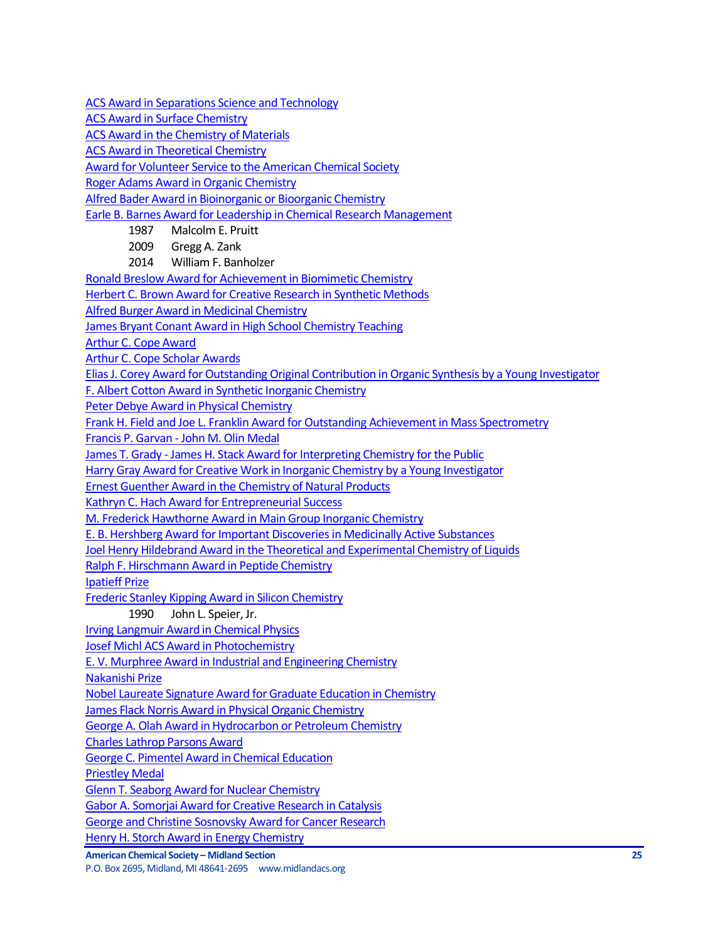[ACS Award in Separations Science and Technology](http://www.acs.org/content/acs/en/funding-and-awards/awards/national/bytopic/acs-award-in-separations-science-and-technology.html)

[ACS Award in Surface Chemistry](http://www.acs.org/content/acs/en/funding-and-awards/awards/national/bytopic/acs-award-in-surface-chemistry.html)

[ACS Award in the Chemistry of Materials](http://www.acs.org/content/acs/en/funding-and-awards/awards/national/bytopic/acs-award-in-the-chemistry-of-materials.html)

**[ACS Award in Theoretical Chemistry](http://www.acs.org/content/acs/en/funding-and-awards/awards/national/bytopic/acs-award-in-theoretical-chemistry.html)** 

[Award for Volunteer Service to the American Chemical Society](http://www.acs.org/content/acs/en/funding-and-awards/awards/national/bytopic/award-for-volunteer-service-to-the-american-chemical-society.html)

[Roger Adams Award in Organic Chemistry](http://www.acs.org/content/acs/en/funding-and-awards/awards/national/bytopic/roger-adams-award-in-organic-chemistry.html)

[Alfred Bader Award in Bioinorganic or Bioorganic Chemistry](http://www.acs.org/content/acs/en/funding-and-awards/awards/national/bytopic/alfred-bader-award-in-bioinorganic-or-bioorganic-chemistry.html)

[Earle B. Barnes Award for Leadership in Chemical Research Management](http://www.acs.org/content/acs/en/funding-and-awards/awards/national/bytopic/earle-b-barnes-award-for-leadership-in-chemical-research-management.html)

- 1987 Malcolm E. Pruitt
	- 2009 Gregg A. Zank
	- 2014 William F. Banholzer

[Ronald Breslow Award for Achievement in Biomimetic Chemistry](http://www.acs.org/content/acs/en/funding-and-awards/awards/national/bytopic/ronald-breslow-award-for-achievement-in-biomimetic-chemistry.html)

[Herbert C. Brown Award for Creative Research in Synthetic Methods](http://www.acs.org/content/acs/en/funding-and-awards/awards/national/bytopic/herbert-c-brown-award-for-creative-research-in-synthetic-methods.html)

[Alfred Burger Award in Medicinal Chemistry](https://www.acs.org/content/acs/en/funding-and-awards/awards/national/bytopic/alfred-burger-award-in-medicinal-chemistry.html?_ga=1.126276233.525249293.1483657158)

[James Bryant Conant Award in High School Chemistry Teaching](http://www.acs.org/content/acs/en/funding-and-awards/awards/national/bytopic/james-bryant-conant-award-in-high-school-chemistry-teaching.html)

[Arthur C. Cope Award](http://www.acs.org/content/acs/en/funding-and-awards/awards/national/bytopic/arthur-c-cope-award.html)

[Arthur C. Cope Scholar Awards](https://www.acs.org/content/acs/en/funding-and-awards/awards/national/bytopic/arthur-cope-scholar-award.html?_ga=1.41640802.1585534025.1483717018)

[Elias J. Corey Award for Outstanding Original Contribution in Organic Synthesis by a Young Investigator](http://www.acs.org/content/acs/en/funding-and-awards/awards/national/bytopic/elias-j-corey-award-for-outstanding-original-contribution-in-organic-synthesis-by-a-young-investigator.html)

[F. Albert Cotton Award in Synthetic Inorganic Chemistry](http://www.acs.org/content/acs/en/funding-and-awards/awards/national/bytopic/f-albert-cotton-award-in-synthetic-inorganic-chemistry.html)

[Peter Debye Award in Physical Chemistry](http://www.acs.org/content/acs/en/funding-and-awards/awards/national/bytopic/peter-debye-award-in-physical-chemistry.html)

[Frank H. Field and Joe L. Franklin Award for Outstanding Achievement in Mass Spectrometry](http://www.acs.org/content/acs/en/funding-and-awards/awards/national/bytopic/frank-h-field-and-joe-l-franklin-award-for-outstanding-achievement-in-mass-spectrometry.html)

Francis P. Garvan - [John M. Olin Medal](http://www.acs.org/content/acs/en/funding-and-awards/awards/national/bytopic/francis-p-garvan-john-m-olin-medal.html)

James T. Grady - [James H. Stack Award for Interpreting Chemistry for the Public](http://www.acs.org/content/acs/en/funding-and-awards/awards/national/bytopic/james-t-grady-james-h-stack-award-for-interpreting-chemistry-for-the-public.html)

[Harry Gray Award for Creative Work in Inorganic Chemistry by a Young Investigator](http://www.acs.org/content/acs/en/funding-and-awards/awards/national/bytopic/harry-gray-award-for-creative-work-in-inorganic-chemistry-by-a-y.html)

[Ernest Guenther Award in the Chemistry of Natural Products](http://www.acs.org/content/acs/en/funding-and-awards/awards/national/bytopic/ernest-guenther-award-in-the-chemistry-of-natural-products.html)

[Kathryn C. Hach Award for Entrepreneurial Success](http://www.acs.org/content/acs/en/funding-and-awards/awards/national/bytopic/entrepreneurial-success.html)

[M. Frederick Hawthorne Award in Main Group Inorganic Chemistry](https://www.acs.org/content/acs/en/funding-and-awards/awards/national/bytopic/m-frederick-hawthorne-award-in-main-group-inorganic-chemistry.html)

[E. B. Hershberg Award for Important Discoveries in Medicinally Active Substances](http://www.acs.org/content/acs/en/funding-and-awards/awards/national/bytopic/e-b-hershberg-award-for-important-discoveries-in-medicinally-active-substances.html)

[Joel Henry Hildebrand Award in the Theoretical and Experimental Chemistry of Liquids](http://www.acs.org/content/acs/en/funding-and-awards/awards/national/bytopic/joel-henry-hildebrand-award-in-the-theoretical-and-experimental-chemistry-of-liquids.html)

[Ralph F. Hirschmann Award in Peptide Chemistry](https://www.acs.org/content/acs/en/funding-and-awards/awards/national/bytopic/ralph-f-hirschmann-award-in-peptide-chemistry.html?_ga=1.155637183.525249293.1483657158)

[Ipatieff Prize](https://www.acs.org/content/acs/en/funding-and-awards/awards/national/bytopic/ipatieff-prize.html?_ga=1.155637183.525249293.1483657158)

[Frederic Stanley Kipping Award in Silicon Chemistry](http://www.acs.org/content/acs/en/funding-and-awards/awards/national/bytopic/frederic-stanley-kipping-award-in-silicon-chemistry.html)

1990 John L. Speier, Jr.

[Irving Langmuir Award in Chemical Physics](https://www.acs.org/content/acs/en/funding-and-awards/awards/national/bytopic/irving-langmuir-award-in-chemical-physics.html?_ga=1.61816104.525249293.1483657158)

[Josef Michl ACS Award in Photochemistry](https://www.acs.org/content/acs/en/funding-and-awards/awards/national/bytopic/josef-michl-acs-award-in-photochemistry.html?cq_ck=1404230027376&_ga=1.268382858.525249293.1483657158)

[E. V. Murphree Award in Industrial and Engineering Chemistry](http://www.acs.org/content/acs/en/funding-and-awards/awards/national/bytopic/e-v-murphree-award-in-industrial-and-engineering-chemistry.html)

[Nakanishi Prize](http://www.acs.org/content/acs/en/funding-and-awards/awards/national/bytopic/nakanishi-prize.html)

[Nobel Laureate Signature Award for Graduate Education in Chemistry](http://www.acs.org/content/acs/en/funding-and-awards/awards/national/bytopic/nobel-laureate-signature-award-for-graduate-education-in-chemistry.html)

[James Flack Norris Award in Physical Organic Chemistry](http://www.acs.org/content/acs/en/funding-and-awards/awards/national/bytopic/james-flack-norris-award-in-physical-organic-chemistry.html)

[George A. Olah Award in Hydrocarbon or Petroleum Chemistry](http://www.acs.org/content/acs/en/funding-and-awards/awards/national/bytopic/george-a-olah-award-in-hydrocarbon-or-petroleum-chemistry.html)

[Charles Lathrop Parsons Award](http://www.acs.org/content/acs/en/funding-and-awards/awards/national/bytopic/charles-lathrop-parsons-award.html)

[George C. Pimentel Award in Chemical Education](http://www.acs.org/content/acs/en/funding-and-awards/awards/national/bytopic/george-c-pimentel-award-in-chemical-education.html)

[Priestley Medal](http://www.acs.org/content/acs/en/funding-and-awards/awards/national/bytopic/priestley-medal.html)

[Glenn T. Seaborg Award for Nuclear Chemistry](http://www.acs.org/content/acs/en/funding-and-awards/awards/national/bytopic/glenn-t-seaborg-award-for-nuclear-chemistry.html)

[Gabor A. Somorjai Award for Creative Research in Catalysis](http://www.acs.org/content/acs/en/funding-and-awards/awards/national/bytopic/gabor-a-somorjai-award-for-creative-research-in-catalysis.html)

[George and Christine Sosnovsky Award for Cancer Research](http://www.acs.org/content/acs/en/funding-and-awards/awards/national/bytopic/the-george-and-christine-sosnovsky-award-for-cancer-research.html)

[Henry H. Storch Award in Energy Chemistry](https://www.acs.org/content/acs/en/funding-and-awards/awards/national/bytopic/henry-h-storch-award-in-energy-chemistry.html)

**American Chemical Society – Midland Section 25**

P.O. Box 2695, Midland, MI 48641-2695 www.midlandacs.org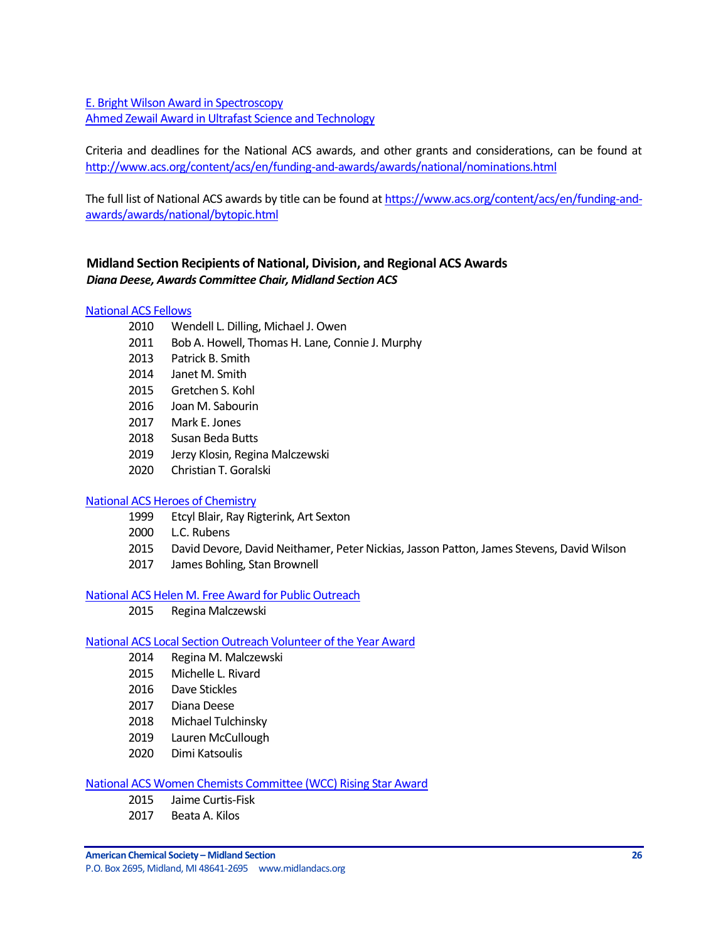[E. Bright Wilson Award in Spectroscopy](http://www.acs.org/content/acs/en/funding-and-awards/awards/national/bytopic/e-bright-wilson-award-in-spectroscopy.html) [Ahmed Zewail Award in Ultrafast Science and Technology](http://www.acs.org/content/acs/en/funding-and-awards/awards/national/bytopic/the-ahmed-zewail-award-in-ultrafast-science-and-technology.html)

Criteria and deadlines for the National ACS awards, and other grants and considerations, can be found at <http://www.acs.org/content/acs/en/funding-and-awards/awards/national/nominations.html>

The full list of National ACS awards by title can be found at [https://www.acs.org/content/acs/en/funding-and](https://www.acs.org/content/acs/en/funding-and-awards/awards/national/bytopic.html)[awards/awards/national/bytopic.html](https://www.acs.org/content/acs/en/funding-and-awards/awards/national/bytopic.html)

## <span id="page-25-0"></span>**Midland Section Recipients of National, Division, and Regional ACS Awards** *Diana Deese, Awards Committee Chair, Midland Section ACS*

### [National ACS Fellows](https://www.acs.org/content/acs/en/funding-and-awards/fellows.html?_ga=1.101250693.525249293.1483657158)

- 2010 Wendell L. Dilling, Michael J. Owen
- 2011 Bob A. Howell, Thomas H. Lane, Connie J. Murphy
- 2013 Patrick B. Smith
- 2014 Janet M. Smith
- 2015 Gretchen S. Kohl
- 2016 Joan M. Sabourin
- 2017 Mark E. Jones
- 2018 Susan Beda Butts
- 2019 Jerzy Klosin, Regina Malczewski
- 2020 Christian T. Goralski

#### [National ACS Heroes of Chemistry](https://www.acs.org/content/acs/en/funding-and-awards/awards/industry/heroes.html)

- 1999 Etcyl Blair, Ray Rigterink, Art Sexton
- 2000 L.C. Rubens
- 2015 David Devore, David Neithamer, Peter Nickias, Jasson Patton, James Stevens, David Wilson
- 2017 James Bohling, Stan Brownell

#### [National ACS Helen M. Free Award for Public Outreach](https://www.acs.org/content/acs/en/funding-and-awards/awards/other/public/helenmfreeawardforpublicoutreach.html?_ga=1.102306181.525249293.1483657158)

2015 Regina Malczewski

#### [National ACS Local Section Outreach Volunteer of the Year Award](https://www.acs.org/content/acs/en/membership-and-networks/ls/grantsawards/local-section-outreach-volunteers.html?_ga=1.163659451.525249293.1483657158)

- 2014 Regina M. Malczewski
- 2015 Michelle L. Rivard
- 2016 Dave Stickles
- 2017 Diana Deese
- 2018 Michael Tulchinsky
- 2019 Lauren McCullough
- 2020 Dimi Katsoulis

## [National ACS Women Chemists Committee \(WCC\) Rising Star Award](https://www.acs.org/content/acs/en/funding-and-awards/awards/other/diversity/wcc-rising-star-award.html)

- 2015 Jaime Curtis-Fisk
- 2017 Beata A. Kilos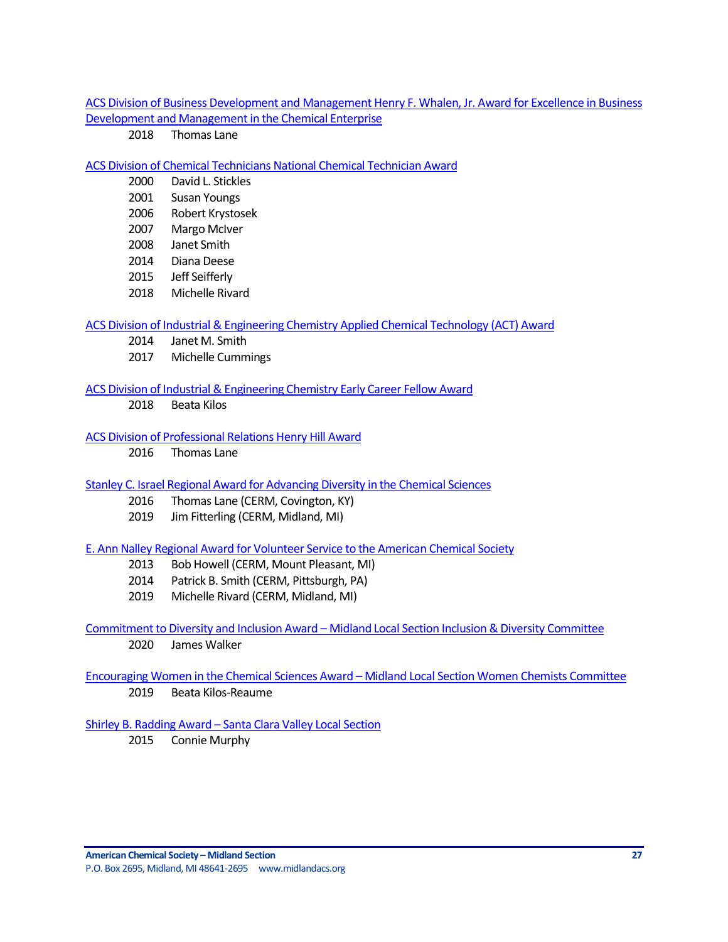[ACS Division of Business Development and Management Henry F. Whalen, Jr. Award for Excellence in Business](http://bmgt.org/awards.html)  [Development and Management in the Chemical Enterprise](http://bmgt.org/awards.html)

2018 Thomas Lane

#### [ACS Division of Chemical Technicians National Chemical Technician Award](https://www.acs.org/content/acs/en/funding-and-awards/awards/division/technicians/national-chemical-technician-award.html)

- 2000 David L. Stickles
- 2001 Susan Youngs
- 2006 Robert Krystosek
- 2007 Margo McIver
- 2008 Janet Smith
- 2014 Diana Deese
- 2015 Jeff Seifferly
- 2018 Michelle Rivard

#### [ACS Division of Industrial & Engineering Chemistry Applied Chemical Technology \(ACT\) Award](http://iecdivision.sites.acs.org/)

- 2014 Janet M. Smith
- 2017 Michelle Cummings

#### [ACS Division of Industrial & Engineering Chemistry Early Career Fellow Award](http://iecdivision.sites.acs.org/)

2018 Beata Kilos

### [ACS Division of Professional Relations Henry Hill Award](https://www.acs.org/content/acs/en/funding-and-awards/awards/division/professionalrelations/prof-henry-hill-award.html)

2016 Thomas Lane

#### [Stanley C. Israel Regional Award for Advancing Diversity in the Chemical Sciences](https://www.acs.org/content/acs/en/funding-and-awards/awards/other/diversity/stan-israel-award.html?_ga=1.122460559.525249293.1483657158)

- 2016 Thomas Lane (CERM, Covington, KY)
- 2019 Jim Fitterling (CERM, Midland, MI)

## [E. Ann Nalley Regional Award for Volunteer Service to the American Chemical Society](https://www.acs.org/content/acs/en/funding-and-awards/awards/regional/e-ann-nalley-regional-award-for-volunteer-service-to-the-american-chemical-society.html?_ga=1.58725929.525249293.1483657158)

- 2013 Bob Howell (CERM, Mount Pleasant, MI)
- 2014 Patrick B. Smith (CERM, Pittsburgh, PA)
- 2019 Michelle Rivard (CERM, Midland, MI)

## Commitment to Diversity and Inclusion Award – Midland Local Section Inclusion & Diversity Committee 2020 James Walker

# Encouraging Women in the Chemical Sciences Award – Midland Local Section Women Chemists Committee

2019 Beata Kilos-Reaume

## Shirley B. Radding Award – [Santa Clara Valley Local Section](https://www.acs.org/content/acs/en/funding-and-awards/awards/acs-local-section-awards/awards-santa-clara-valley/santa-clara-shirley-b-radding-award.html)

2015 Connie Murphy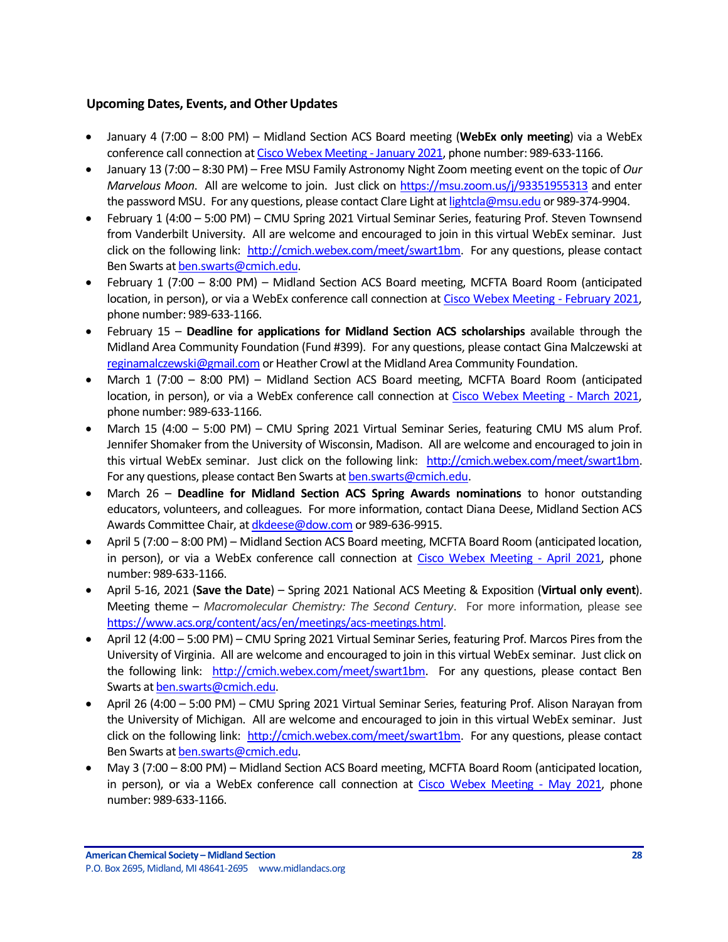## <span id="page-27-0"></span>**Upcoming Dates, Events, and Other Updates**

- January 4 (7:00 8:00 PM) Midland Section ACS Board meeting (**WebEx only meeting**) via a WebEx conference call connection a[t Cisco Webex Meeting -](https://laurenmccullough.my.webex.com/webappng/sites/laurenmccullough.my/meeting/download/1fe34d004133d24e0415cae3b860f29e) January 2021, phone number: 989-633-1166.
- January 13 (7:00 8:30 PM) Free MSU Family Astronomy Night Zoom meeting event on the topic of *Our Marvelous Moon*. All are welcome to join. Just click on<https://msu.zoom.us/j/93351955313> and enter the password MSU. For any questions, please contact Clare Light a[t lightcla@msu.edu](mailto:lightcla@msu.edu) or 989-374-9904.
- February 1 (4:00 5:00 PM) CMU Spring 2021 Virtual Seminar Series, featuring Prof. Steven Townsend from Vanderbilt University. All are welcome and encouraged to join in this virtual WebEx seminar. Just click on the following link: [http://cmich.webex.com/meet/swart1bm.](http://cmich.webex.com/meet/swart1bm) For any questions, please contact Ben Swarts a[t ben.swarts@cmich.edu.](mailto:ben.swarts@cmich.edu)
- February 1 (7:00 8:00 PM) Midland Section ACS Board meeting, MCFTA Board Room (anticipated location, in person), or via a WebEx conference call connection a[t Cisco Webex Meeting -](https://laurenmccullough.my.webex.com/webappng/sites/laurenmccullough.my/meeting/download/1fe34d004133d24e0415cae3b860f29e) February 2021, phone number: 989-633-1166.
- February 15 **Deadline for applications for Midland Section ACS scholarships** available through the Midland Area Community Foundation (Fund #399). For any questions, please contact Gina Malczewski at [reginamalczewski@gmail.com](mailto:reginamalczewski@gmail.com) or Heather Crowl at the Midland Area Community Foundation.
- March 1 (7:00 8:00 PM) Midland Section ACS Board meeting, MCFTA Board Room (anticipated location, in person), or via a WebEx conference call connection at [Cisco Webex Meeting -](https://laurenmccullough.my.webex.com/webappng/sites/laurenmccullough.my/meeting/download/1fe34d004133d24e0415cae3b860f29e) March 2021, phone number: 989-633-1166.
- March 15 (4:00 5:00 PM) CMU Spring 2021 Virtual Seminar Series, featuring CMU MS alum Prof. Jennifer Shomaker from the University of Wisconsin, Madison. All are welcome and encouraged to join in this virtual WebEx seminar. Just click on the following link: [http://cmich.webex.com/meet/swart1bm.](http://cmich.webex.com/meet/swart1bm) For any questions, please contact Ben Swarts at **ben.swarts@cmich.edu.**
- March 26 **Deadline for Midland Section ACS Spring Awards nominations** to honor outstanding educators, volunteers, and colleagues. For more information, contact Diana Deese, Midland Section ACS Awards Committee Chair, a[t dkdeese@dow.com](mailto:dkdeese@dow.com) or 989-636-9915.
- April 5 (7:00 8:00 PM) Midland Section ACS Board meeting, MCFTA Board Room (anticipated location, in person), or via a WebEx conference call connection at [Cisco Webex Meeting -](https://laurenmccullough.my.webex.com/webappng/sites/laurenmccullough.my/meeting/download/1fe34d004133d24e0415cae3b860f29e) April 2021, phone number: 989-633-1166.
- April 5-16, 2021 (**Save the Date**) Spring 2021 National ACS Meeting & Exposition (**Virtual only event**). Meeting theme – *Macromolecular Chemistry: The Second Century*. For more information, please see [https://www.acs.org/content/acs/en/meetings/acs-meetings.html.](https://www.acs.org/content/acs/en/meetings/acs-meetings.html)
- April 12 (4:00 5:00 PM) CMU Spring 2021 Virtual Seminar Series, featuring Prof. Marcos Pires from the University of Virginia. All are welcome and encouraged to join in this virtual WebEx seminar. Just click on the following link: [http://cmich.webex.com/meet/swart1bm.](http://cmich.webex.com/meet/swart1bm) For any questions, please contact Ben Swarts a[t ben.swarts@cmich.edu.](mailto:ben.swarts@cmich.edu)
- April 26 (4:00 5:00 PM) CMU Spring 2021 Virtual Seminar Series, featuring Prof. Alison Narayan from the University of Michigan. All are welcome and encouraged to join in this virtual WebEx seminar. Just click on the following link: [http://cmich.webex.com/meet/swart1bm.](http://cmich.webex.com/meet/swart1bm) For any questions, please contact Ben Swarts a[t ben.swarts@cmich.edu.](mailto:ben.swarts@cmich.edu)
- May 3 (7:00 8:00 PM) Midland Section ACS Board meeting, MCFTA Board Room (anticipated location, in person), or via a WebEx conference call connection at [Cisco Webex Meeting -](https://laurenmccullough.my.webex.com/webappng/sites/laurenmccullough.my/meeting/download/1fe34d004133d24e0415cae3b860f29e) May 2021, phone number: 989-633-1166.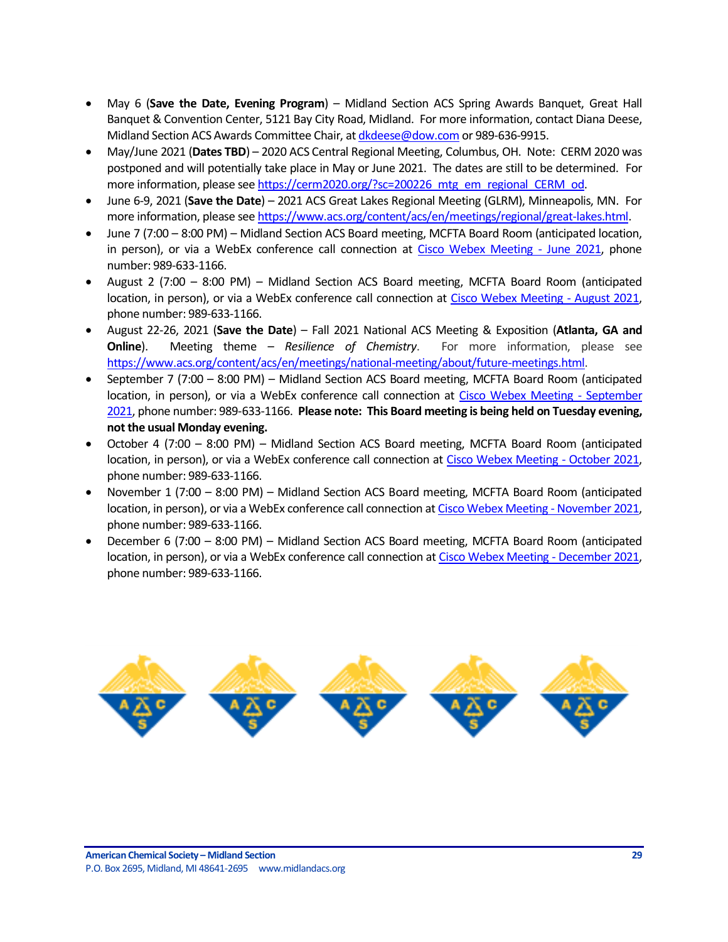- May 6 (**Save the Date, Evening Program**) Midland Section ACS Spring Awards Banquet, Great Hall Banquet & Convention Center, 5121 Bay City Road, Midland. For more information, contact Diana Deese, Midland Section ACS Awards Committee Chair, a[t dkdeese@dow.com](mailto:dkdeese@dow.com) or 989-636-9915.
- May/June 2021 (**Dates TBD**) 2020 ACS Central Regional Meeting, Columbus, OH. Note: CERM 2020 was postponed and will potentially take place in May or June 2021. The dates are still to be determined. For more information, please se[e https://cerm2020.org/?sc=200226\\_mtg\\_em\\_regional\\_CERM\\_od.](https://cerm2020.org/?sc=200226_mtg_em_regional_CERM_od)
- June 6-9, 2021 (**Save the Date**) 2021 ACS Great Lakes Regional Meeting (GLRM), Minneapolis, MN. For more information, please se[e https://www.acs.org/content/acs/en/meetings/regional/great-lakes.html.](https://www.acs.org/content/acs/en/meetings/regional/great-lakes.html)
- June 7 (7:00 8:00 PM) Midland Section ACS Board meeting, MCFTA Board Room (anticipated location, in person), or via a WebEx conference call connection at [Cisco Webex Meeting -](https://laurenmccullough.my.webex.com/webappng/sites/laurenmccullough.my/meeting/download/1fe34d004133d24e0415cae3b860f29e) June 2021, phone number: 989-633-1166.
- August 2 (7:00 8:00 PM) Midland Section ACS Board meeting, MCFTA Board Room (anticipated location, in person), or via a WebEx conference call connection at [Cisco Webex Meeting -](https://laurenmccullough.my.webex.com/webappng/sites/laurenmccullough.my/meeting/download/1fe34d004133d24e0415cae3b860f29e) August 2021, phone number: 989-633-1166.
- August 22-26, 2021 (**Save the Date**) Fall 2021 National ACS Meeting & Exposition (**Atlanta, GA and Online**). Meeting theme – *Resilience of Chemistry*. For more information, please see [https://www.acs.org/content/acs/en/meetings/national-meeting/about/future-meetings.html.](https://www.acs.org/content/acs/en/meetings/national-meeting/about/future-meetings.html)
- September 7 (7:00 8:00 PM) Midland Section ACS Board meeting, MCFTA Board Room (anticipated location, in person), or via a WebEx conference call connection at [Cisco Webex Meeting -](https://laurenmccullough.my.webex.com/webappng/sites/laurenmccullough.my/meeting/download/1fe34d004133d24e0415cae3b860f29e) September [2021,](https://laurenmccullough.my.webex.com/webappng/sites/laurenmccullough.my/meeting/download/1fe34d004133d24e0415cae3b860f29e) phone number: 989-633-1166. **Please note: This Board meeting is being held on Tuesday evening, not the usual Monday evening.**
- October 4 (7:00 8:00 PM) Midland Section ACS Board meeting, MCFTA Board Room (anticipated location, in person), or via a WebEx conference call connection at [Cisco Webex Meeting -](https://laurenmccullough.my.webex.com/webappng/sites/laurenmccullough.my/meeting/download/1fe34d004133d24e0415cae3b860f29e) October 2021, phone number: 989-633-1166.
- November 1 (7:00 8:00 PM) Midland Section ACS Board meeting, MCFTA Board Room (anticipated location, in person), or via a WebEx conference call connection a[t Cisco Webex Meeting -](https://laurenmccullough.my.webex.com/webappng/sites/laurenmccullough.my/meeting/download/1fe34d004133d24e0415cae3b860f29e) November 2021, phone number: 989-633-1166.
- December 6 (7:00 8:00 PM) Midland Section ACS Board meeting, MCFTA Board Room (anticipated location, in person), or via a WebEx conference call connection a[t Cisco Webex Meeting -](https://laurenmccullough.my.webex.com/webappng/sites/laurenmccullough.my/meeting/download/1fe34d004133d24e0415cae3b860f29e) December 2021, phone number: 989-633-1166.